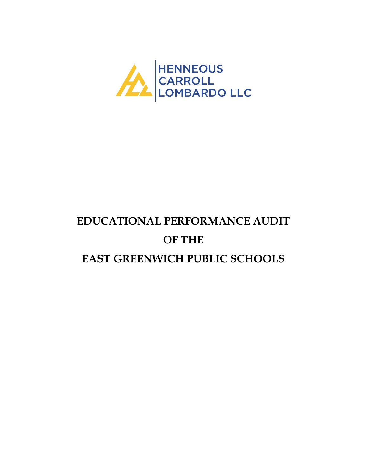

# **EDUCATIONAL PERFORMANCE AUDIT OF THE EAST GREENWICH PUBLIC SCHOOLS**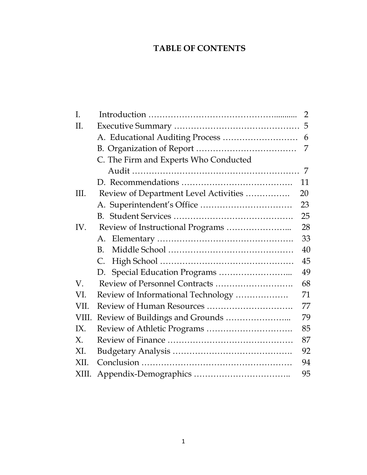# **TABLE OF CONTENTS**

| I.          |                                       | $\overline{2}$ |
|-------------|---------------------------------------|----------------|
| Π.          |                                       |                |
|             |                                       | 6              |
|             |                                       | 7              |
|             | C. The Firm and Experts Who Conducted |                |
|             |                                       | 7              |
|             |                                       | 11             |
| III.        | Review of Department Level Activities | 20             |
|             |                                       | 23             |
|             |                                       | 25             |
| IV.         |                                       | 28             |
|             | А.                                    | 33             |
|             | B <sub>1</sub>                        | 40             |
|             | C.                                    | 45             |
|             |                                       | 49             |
| V.          | Review of Personnel Contracts         | 68             |
| VI.         | Review of Informational Technology    | 71             |
| VII.        |                                       | 77             |
| VIII.       |                                       | 79             |
| IX.         |                                       | 85             |
| $X_{\cdot}$ |                                       | 87             |
| XI.         |                                       | 92             |
| XII.        |                                       | 94             |
| XIII.       |                                       | 95             |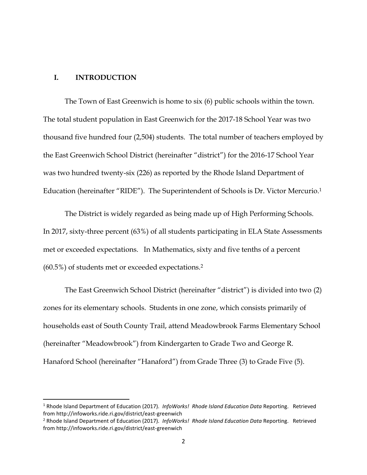#### **I. INTRODUCTION**

l

The Town of East Greenwich is home to six (6) public schools within the town. The total student population in East Greenwich for the 2017-18 School Year was two thousand five hundred four (2,504) students. The total number of teachers employed by the East Greenwich School District (hereinafter "district") for the 2016-17 School Year was two hundred twenty-six (226) as reported by the Rhode Island Department of Education (hereinafter "RIDE"). The Superintendent of Schools is Dr. Victor Mercurio.<sup>1</sup>

The District is widely regarded as being made up of High Performing Schools. In 2017, sixty-three percent (63%) of all students participating in ELA State Assessments met or exceeded expectations. In Mathematics, sixty and five tenths of a percent (60.5%) of students met or exceeded expectations.<sup>2</sup>

The East Greenwich School District (hereinafter "district") is divided into two (2) zones for its elementary schools. Students in one zone, which consists primarily of households east of South County Trail, attend Meadowbrook Farms Elementary School (hereinafter "Meadowbrook") from Kindergarten to Grade Two and George R. Hanaford School (hereinafter "Hanaford") from Grade Three (3) to Grade Five (5).

<sup>1</sup> Rhode Island Department of Education (2017). *InfoWorks! Rhode Island Education Data* Reporting. Retrieved from http://infoworks.ride.ri.gov/district/east-greenwich

<sup>2</sup> Rhode Island Department of Education (2017). *InfoWorks! Rhode Island Education Data* Reporting. Retrieved from http://infoworks.ride.ri.gov/district/east-greenwich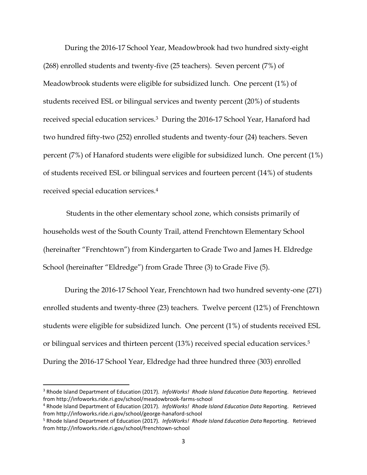During the 2016-17 School Year, Meadowbrook had two hundred sixty-eight (268) enrolled students and twenty-five (25 teachers). Seven percent (7%) of Meadowbrook students were eligible for subsidized lunch. One percent (1%) of students received ESL or bilingual services and twenty percent (20%) of students received special education services.3 During the 2016-17 School Year, Hanaford had two hundred fifty-two (252) enrolled students and twenty-four (24) teachers. Seven percent (7%) of Hanaford students were eligible for subsidized lunch. One percent (1%) of students received ESL or bilingual services and fourteen percent (14%) of students received special education services.<sup>4</sup>

Students in the other elementary school zone, which consists primarily of households west of the South County Trail, attend Frenchtown Elementary School (hereinafter "Frenchtown") from Kindergarten to Grade Two and James H. Eldredge School (hereinafter "Eldredge") from Grade Three (3) to Grade Five (5).

During the 2016-17 School Year, Frenchtown had two hundred seventy-one (271) enrolled students and twenty-three (23) teachers. Twelve percent (12%) of Frenchtown students were eligible for subsidized lunch. One percent (1%) of students received ESL or bilingual services and thirteen percent (13%) received special education services.<sup>5</sup> During the 2016-17 School Year, Eldredge had three hundred three (303) enrolled

l

<sup>3</sup> Rhode Island Department of Education (2017). *InfoWorks! Rhode Island Education Data* Reporting. Retrieved from http://infoworks.ride.ri.gov/school/meadowbrook-farms-school

<sup>4</sup> Rhode Island Department of Education (2017). *InfoWorks! Rhode Island Education Data* Reporting. Retrieved from http://infoworks.ride.ri.gov/school/george-hanaford-school

<sup>5</sup> Rhode Island Department of Education (2017). *InfoWorks! Rhode Island Education Data* Reporting. Retrieved from http://infoworks.ride.ri.gov/school/frenchtown-school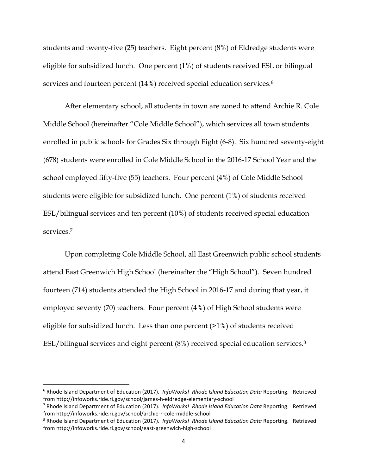students and twenty-five (25) teachers. Eight percent (8%) of Eldredge students were eligible for subsidized lunch. One percent (1%) of students received ESL or bilingual services and fourteen percent (14%) received special education services.<sup>6</sup>

After elementary school, all students in town are zoned to attend Archie R. Cole Middle School (hereinafter "Cole Middle School"), which services all town students enrolled in public schools for Grades Six through Eight (6-8). Six hundred seventy-eight (678) students were enrolled in Cole Middle School in the 2016-17 School Year and the school employed fifty-five (55) teachers. Four percent (4%) of Cole Middle School students were eligible for subsidized lunch. One percent (1%) of students received ESL/bilingual services and ten percent (10%) of students received special education services.<sup>7</sup>

Upon completing Cole Middle School, all East Greenwich public school students attend East Greenwich High School (hereinafter the "High School"). Seven hundred fourteen (714) students attended the High School in 2016-17 and during that year, it employed seventy (70) teachers. Four percent (4%) of High School students were eligible for subsidized lunch. Less than one percent (>1%) of students received ESL/bilingual services and eight percent (8%) received special education services.<sup>8</sup>

l

<sup>6</sup> Rhode Island Department of Education (2017). *InfoWorks! Rhode Island Education Data* Reporting. Retrieved from http://infoworks.ride.ri.gov/school/james-h-eldredge-elementary-school

<sup>7</sup> Rhode Island Department of Education (2017). *InfoWorks! Rhode Island Education Data* Reporting. Retrieved from http://infoworks.ride.ri.gov/school/archie-r-cole-middle-school

<sup>8</sup> Rhode Island Department of Education (2017). *InfoWorks! Rhode Island Education Data* Reporting. Retrieved from http://infoworks.ride.ri.gov/school/east-greenwich-high-school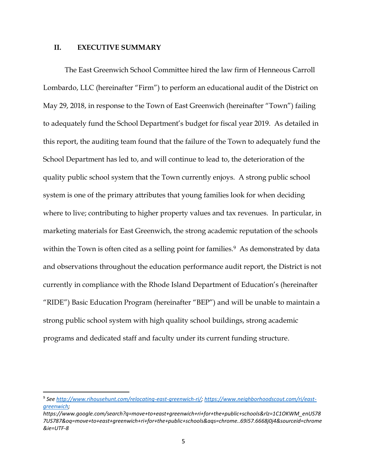#### **II. EXECUTIVE SUMMARY**

 $\overline{\phantom{a}}$ 

The East Greenwich School Committee hired the law firm of Henneous Carroll Lombardo, LLC (hereinafter "Firm") to perform an educational audit of the District on May 29, 2018, in response to the Town of East Greenwich (hereinafter "Town") failing to adequately fund the School Department's budget for fiscal year 2019. As detailed in this report, the auditing team found that the failure of the Town to adequately fund the School Department has led to, and will continue to lead to, the deterioration of the quality public school system that the Town currently enjoys. A strong public school system is one of the primary attributes that young families look for when deciding where to live; contributing to higher property values and tax revenues. In particular, in marketing materials for East Greenwich, the strong academic reputation of the schools within the Town is often cited as a selling point for families.<sup>9</sup> As demonstrated by data and observations throughout the education performance audit report, the District is not currently in compliance with the Rhode Island Department of Education's (hereinafter "RIDE") Basic Education Program (hereinafter "BEP") and will be unable to maintain a strong public school system with high quality school buildings, strong academic programs and dedicated staff and faculty under its current funding structure.

<sup>9</sup> *See [http://www.rihousehunt.com/relocating-east-greenwich-ri/;](http://www.rihousehunt.com/relocating-east-greenwich-ri/) [https://www.neighborhoodscout.com/ri/east](https://www.neighborhoodscout.com/ri/east-greenwich)[greenwich;](https://www.neighborhoodscout.com/ri/east-greenwich)* 

*https://www.google.com/search?q=move+to+east+greenwich+ri+for+the+public+schools&rlz=1C1OKWM\_enUS78 7US787&oq=move+to+east+greenwich+ri+for+the+public+schools&aqs=chrome..69i57.6668j0j4&sourceid=chrome &ie=UTF-8*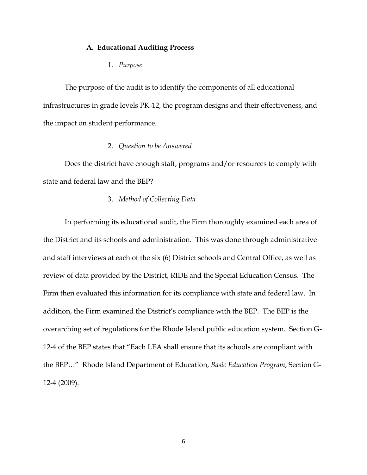#### **A. Educational Auditing Process**

1. *Purpose*

The purpose of the audit is to identify the components of all educational infrastructures in grade levels PK-12, the program designs and their effectiveness, and the impact on student performance.

#### 2. *Question to be Answered*

Does the district have enough staff, programs and/or resources to comply with state and federal law and the BEP?

#### 3. *Method of Collecting Data*

In performing its educational audit, the Firm thoroughly examined each area of the District and its schools and administration. This was done through administrative and staff interviews at each of the six (6) District schools and Central Office, as well as review of data provided by the District, RIDE and the Special Education Census. The Firm then evaluated this information for its compliance with state and federal law. In addition, the Firm examined the District's compliance with the BEP. The BEP is the overarching set of regulations for the Rhode Island public education system. Section G-12-4 of the BEP states that "Each LEA shall ensure that its schools are compliant with the BEP…" Rhode Island Department of Education, *Basic Education Program*, Section G-12-4 (2009).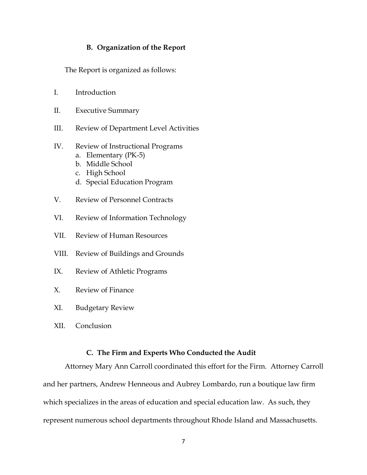#### **B. Organization of the Report**

The Report is organized as follows:

- I. Introduction
- II. Executive Summary
- III. Review of Department Level Activities
- IV. Review of Instructional Programs
	- a. Elementary (PK-5)
	- b. Middle School
	- c. High School
	- d. Special Education Program
- V. Review of Personnel Contracts
- VI. Review of Information Technology
- VII. Review of Human Resources
- VIII. Review of Buildings and Grounds
- IX. Review of Athletic Programs
- X. Review of Finance
- XI. Budgetary Review
- XII. Conclusion

#### **C. The Firm and Experts Who Conducted the Audit**

Attorney Mary Ann Carroll coordinated this effort for the Firm. Attorney Carroll and her partners, Andrew Henneous and Aubrey Lombardo, run a boutique law firm which specializes in the areas of education and special education law. As such, they represent numerous school departments throughout Rhode Island and Massachusetts.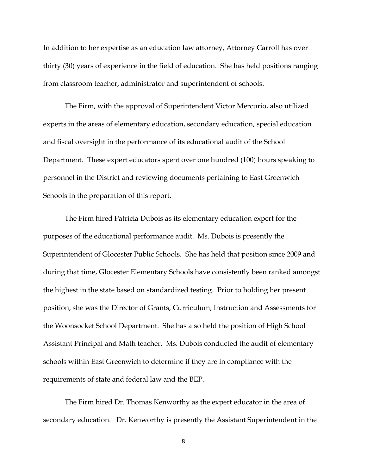In addition to her expertise as an education law attorney, Attorney Carroll has over thirty (30) years of experience in the field of education. She has held positions ranging from classroom teacher, administrator and superintendent of schools.

The Firm, with the approval of Superintendent Victor Mercurio, also utilized experts in the areas of elementary education, secondary education, special education and fiscal oversight in the performance of its educational audit of the School Department. These expert educators spent over one hundred (100) hours speaking to personnel in the District and reviewing documents pertaining to East Greenwich Schools in the preparation of this report.

The Firm hired Patricia Dubois as its elementary education expert for the purposes of the educational performance audit. Ms. Dubois is presently the Superintendent of Glocester Public Schools. She has held that position since 2009 and during that time, Glocester Elementary Schools have consistently been ranked amongst the highest in the state based on standardized testing. Prior to holding her present position, she was the Director of Grants, Curriculum, Instruction and Assessments for the Woonsocket School Department. She has also held the position of High School Assistant Principal and Math teacher. Ms. Dubois conducted the audit of elementary schools within East Greenwich to determine if they are in compliance with the requirements of state and federal law and the BEP.

The Firm hired Dr. Thomas Kenworthy as the expert educator in the area of secondary education. Dr. Kenworthy is presently the Assistant Superintendent in the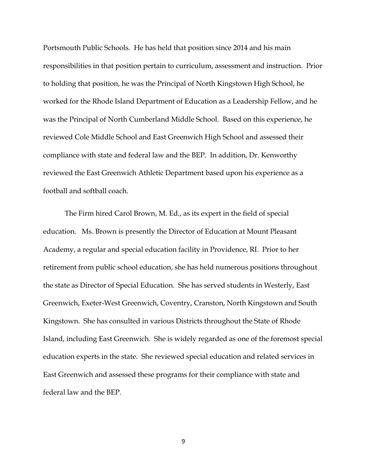Portsmouth Public Schools. He has held that position since 2014 and his main responsibilities in that position pertain to curriculum, assessment and instruction. Prior to holding that position, he was the Principal of North Kingstown High School, he worked for the Rhode Island Department of Education as a Leadership Fellow, and he was the Principal of North Cumberland Middle School. Based on this experience, he reviewed Cole Middle School and East Greenwich High School and assessed their compliance with state and federal law and the BEP. In addition, Dr. Kenworthy reviewed the East Greenwich Athletic Department based upon his experience as a football and softball coach.

The Firm hired Carol Brown, M. Ed., as its expert in the field of special education. Ms. Brown is presently the Director of Education at Mount Pleasant Academy, a regular and special education facility in Providence, RI. Prior to her retirement from public school education, she has held numerous positions throughout the state as Director of Special Education. She has served students in Westerly, East Greenwich, Exeter-West Greenwich, Coventry, Cranston, North Kingstown and South Kingstown. She has consulted in various Districts throughout the State of Rhode Island, including East Greenwich. She is widely regarded as one of the foremost special education experts in the state. She reviewed special education and related services in East Greenwich and assessed these programs for their compliance with state and federal law and the BEP.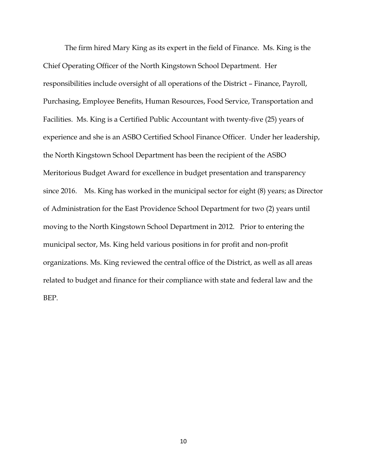The firm hired Mary King as its expert in the field of Finance. Ms. King is the Chief Operating Officer of the North Kingstown School Department. Her responsibilities include oversight of all operations of the District – Finance, Payroll, Purchasing, Employee Benefits, Human Resources, Food Service, Transportation and Facilities. Ms. King is a Certified Public Accountant with twenty-five (25) years of experience and she is an ASBO Certified School Finance Officer. Under her leadership, the North Kingstown School Department has been the recipient of the ASBO Meritorious Budget Award for excellence in budget presentation and transparency since 2016. Ms. King has worked in the municipal sector for eight (8) years; as Director of Administration for the East Providence School Department for two (2) years until moving to the North Kingstown School Department in 2012. Prior to entering the municipal sector, Ms. King held various positions in for profit and non-profit organizations. Ms. King reviewed the central office of the District, as well as all areas related to budget and finance for their compliance with state and federal law and the BEP.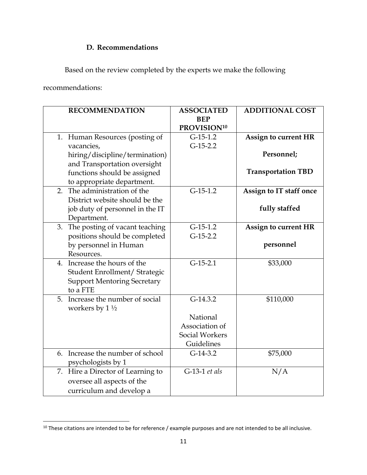# **D. Recommendations**

Based on the review completed by the experts we make the following

recommendations:

 $\overline{\phantom{a}}$ 

|    | <b>RECOMMENDATION</b>              | <b>ASSOCIATED</b>       | <b>ADDITIONAL COST</b>      |
|----|------------------------------------|-------------------------|-----------------------------|
|    |                                    | <b>BEP</b>              |                             |
|    |                                    | PROVISION <sup>10</sup> |                             |
|    | 1. Human Resources (posting of     | $G-15-1.2$              | <b>Assign to current HR</b> |
|    | vacancies,                         | $G-15-2.2$              |                             |
|    | hiring/discipline/termination)     |                         | Personnel;                  |
|    | and Transportation oversight       |                         |                             |
|    | functions should be assigned       |                         | <b>Transportation TBD</b>   |
|    | to appropriate department.         |                         |                             |
| 2. | The administration of the          | $G-15-1.2$              | Assign to IT staff once     |
|    | District website should be the     |                         |                             |
|    | job duty of personnel in the IT    |                         | fully staffed               |
|    | Department.                        |                         |                             |
| 3. | The posting of vacant teaching     | $G-15-1.2$              | <b>Assign to current HR</b> |
|    | positions should be completed      | $G-15-2.2$              |                             |
|    | by personnel in Human              |                         | personnel                   |
|    | Resources.                         |                         |                             |
|    | 4. Increase the hours of the       | $G-15-2.1$              | \$33,000                    |
|    | Student Enrollment/ Strategic      |                         |                             |
|    | <b>Support Mentoring Secretary</b> |                         |                             |
|    | to a FTE                           |                         |                             |
|    | 5. Increase the number of social   | $G-14.3.2$              | \$110,000                   |
|    | workers by $1\frac{1}{2}$          |                         |                             |
|    |                                    | National                |                             |
|    |                                    | Association of          |                             |
|    |                                    | Social Workers          |                             |
|    |                                    | Guidelines              |                             |
|    | 6. Increase the number of school   | $G-14-3.2$              | \$75,000                    |
|    | psychologists by 1                 |                         |                             |
|    | 7. Hire a Director of Learning to  | G-13-1 et als           | N/A                         |
|    | oversee all aspects of the         |                         |                             |
|    | curriculum and develop a           |                         |                             |
|    |                                    |                         |                             |

 $^{10}$  These citations are intended to be for reference / example purposes and are not intended to be all inclusive.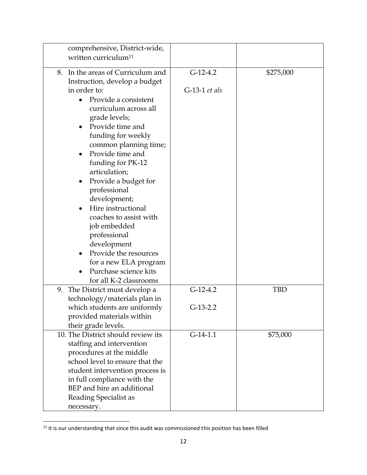| comprehensive, District-wide,      |                 |           |
|------------------------------------|-----------------|-----------|
| written curriculum <sup>11</sup>   |                 |           |
|                                    |                 |           |
| 8. In the areas of Curriculum and  | $G-12-4.2$      | \$275,000 |
| Instruction, develop a budget      |                 |           |
| in order to:                       | $G-13-1$ et als |           |
| Provide a consistent               |                 |           |
| curriculum across all              |                 |           |
| grade levels;                      |                 |           |
| Provide time and                   |                 |           |
| funding for weekly                 |                 |           |
| common planning time;              |                 |           |
| Provide time and                   |                 |           |
| funding for PK-12                  |                 |           |
| articulation;                      |                 |           |
| Provide a budget for               |                 |           |
| professional                       |                 |           |
| development;                       |                 |           |
| Hire instructional                 |                 |           |
| coaches to assist with             |                 |           |
| job embedded                       |                 |           |
| professional                       |                 |           |
|                                    |                 |           |
| development                        |                 |           |
| Provide the resources              |                 |           |
| for a new ELA program              |                 |           |
| Purchase science kits              |                 |           |
| for all K-2 classrooms             |                 |           |
| 9. The District must develop a     | $G-12-4.2$      | TBD       |
| technology/materials plan in       |                 |           |
| which students are uniformly       | $G-13-2.2$      |           |
| provided materials within          |                 |           |
| their grade levels.                |                 |           |
| 10. The District should review its | $G-14-1.1$      | \$75,000  |
| staffing and intervention          |                 |           |
| procedures at the middle           |                 |           |
| school level to ensure that the    |                 |           |
| student intervention process is    |                 |           |
| in full compliance with the        |                 |           |
| BEP and hire an additional         |                 |           |
| Reading Specialist as              |                 |           |
| necessary.                         |                 |           |

 $11$  It is our understanding that since this audit was commissioned this position has been filled

 $\mathbb{R}^2$ 

 $\overline{\phantom{a}}$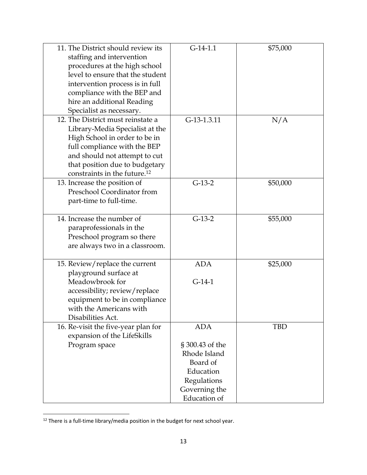| 11. The District should review its<br>staffing and intervention | $G-14-1.1$          | \$75,000 |
|-----------------------------------------------------------------|---------------------|----------|
| procedures at the high school                                   |                     |          |
| level to ensure that the student                                |                     |          |
| intervention process is in full                                 |                     |          |
| compliance with the BEP and                                     |                     |          |
| hire an additional Reading                                      |                     |          |
| Specialist as necessary.                                        |                     |          |
| 12. The District must reinstate a                               | G-13-1.3.11         | N/A      |
| Library-Media Specialist at the                                 |                     |          |
| High School in order to be in                                   |                     |          |
| full compliance with the BEP                                    |                     |          |
| and should not attempt to cut                                   |                     |          |
| that position due to budgetary                                  |                     |          |
| constraints in the future. <sup>12</sup>                        |                     |          |
| 13. Increase the position of                                    | $G-13-2$            | \$50,000 |
| Preschool Coordinator from                                      |                     |          |
| part-time to full-time.                                         |                     |          |
|                                                                 |                     |          |
| 14. Increase the number of                                      | $G-13-2$            | \$55,000 |
| paraprofessionals in the                                        |                     |          |
| Preschool program so there                                      |                     |          |
| are always two in a classroom.                                  |                     |          |
| 15. Review/replace the current                                  | <b>ADA</b>          | \$25,000 |
| playground surface at                                           |                     |          |
| Meadowbrook for                                                 | $G-14-1$            |          |
| accessibility; review/replace                                   |                     |          |
| equipment to be in compliance                                   |                     |          |
| with the Americans with                                         |                     |          |
| Disabilities Act.                                               |                     |          |
| 16. Re-visit the five-year plan for                             | <b>ADA</b>          | TBD      |
| expansion of the LifeSkills                                     |                     |          |
| Program space                                                   | § 300.43 of the     |          |
|                                                                 | Rhode Island        |          |
|                                                                 | Board of            |          |
|                                                                 | Education           |          |
|                                                                 | Regulations         |          |
|                                                                 | Governing the       |          |
|                                                                 | <b>Education</b> of |          |

 $12$  There is a full-time library/media position in the budget for next school year.

 $\overline{\phantom{a}}$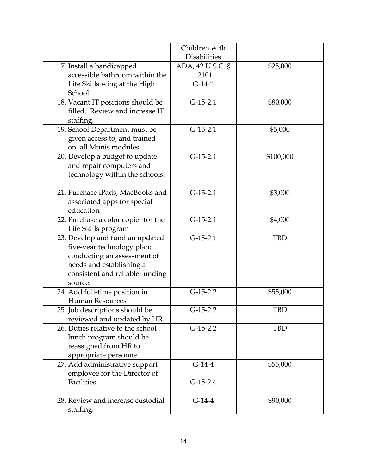|                                                                                                                                                                        | Children with                         |            |
|------------------------------------------------------------------------------------------------------------------------------------------------------------------------|---------------------------------------|------------|
|                                                                                                                                                                        | <b>Disabilities</b>                   |            |
| 17. Install a handicapped<br>accessible bathroom within the<br>Life Skills wing at the High<br>School                                                                  | ADA, 42 U.S.C. §<br>12101<br>$G-14-1$ | \$25,000   |
| 18. Vacant IT positions should be<br>filled. Review and increase IT<br>staffing.                                                                                       | $G-15-2.1$                            | \$80,000   |
| 19. School Department must be<br>given access to, and trained<br>on, all Munis modules.                                                                                | $G-15-2.1$                            | \$5,000    |
| 20. Develop a budget to update<br>and repair computers and<br>technology within the schools.                                                                           | $G-15-2.1$                            | \$100,000  |
| 21. Purchase iPads, MacBooks and<br>associated apps for special<br>education                                                                                           | $G-15-2.1$                            | \$3,000    |
| 22. Purchase a color copier for the<br>Life Skills program                                                                                                             | $G-15-2.1$                            | \$4,000    |
| 23. Develop and fund an updated<br>five-year technology plan;<br>conducting an assessment of<br>needs and establishing a<br>consistent and reliable funding<br>source. | $G-15-2.1$                            | <b>TBD</b> |
| 24. Add full-time position in<br><b>Human Resources</b>                                                                                                                | $G-15-2.2$                            | \$55,000   |
| 25. Job descriptions should be<br>reviewed and updated by HR.                                                                                                          | $G-15-2.2$                            | TBD        |
| 26. Duties relative to the school<br>lunch program should be<br>reassigned from HR to<br>appropriate personnel.                                                        | $G-15-2.2$                            | <b>TBD</b> |
| 27. Add administrative support<br>employee for the Director of<br>Facilities.                                                                                          | $G-14-4$<br>$G-15-2.4$                | \$55,000   |
| 28. Review and increase custodial<br>staffing.                                                                                                                         | $G-14-4$                              | \$90,000   |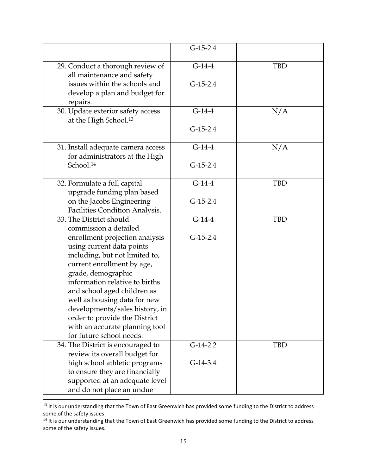| $G-14-4$   | <b>TBD</b> |
|------------|------------|
| $G-15-2.4$ |            |
| $G-14-4$   | N/A        |
| $G-15-2.4$ |            |
| $G-14-4$   | N/A        |
| $G-15-2.4$ |            |
| $G-14-4$   | <b>TBD</b> |
| $G-15-2.4$ |            |
| $G-14-4$   | <b>TBD</b> |
| $G-15-2.4$ |            |
|            |            |
|            |            |
|            |            |
|            |            |
|            |            |
| $G-14-2.2$ | <b>TBD</b> |
|            |            |
|            |            |
|            |            |
|            | $G-14-3.4$ |

<sup>&</sup>lt;sup>13</sup> It is our understanding that the Town of East Greenwich has provided some funding to the District to address some of the safety issues

l

<sup>&</sup>lt;sup>14</sup> It is our understanding that the Town of East Greenwich has provided some funding to the District to address some of the safety issues.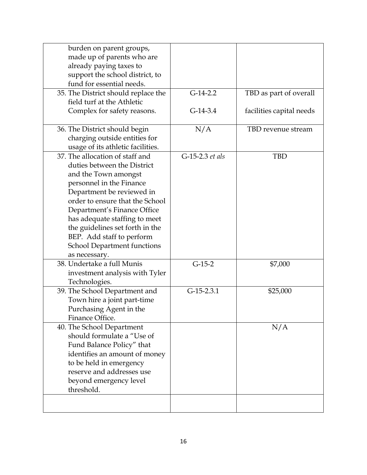| burden on parent groups,            |                 |                          |
|-------------------------------------|-----------------|--------------------------|
| made up of parents who are          |                 |                          |
| already paying taxes to             |                 |                          |
| support the school district, to     |                 |                          |
| fund for essential needs.           |                 |                          |
| 35. The District should replace the | $G-14-2.2$      | TBD as part of overall   |
| field turf at the Athletic          |                 |                          |
| Complex for safety reasons.         | $G-14-3.4$      | facilities capital needs |
| 36. The District should begin       | N/A             | TBD revenue stream       |
| charging outside entities for       |                 |                          |
| usage of its athletic facilities.   |                 |                          |
| 37. The allocation of staff and     | G-15-2.3 et als | <b>TBD</b>               |
| duties between the District         |                 |                          |
| and the Town amongst                |                 |                          |
| personnel in the Finance            |                 |                          |
| Department be reviewed in           |                 |                          |
| order to ensure that the School     |                 |                          |
| Department's Finance Office         |                 |                          |
| has adequate staffing to meet       |                 |                          |
| the guidelines set forth in the     |                 |                          |
| BEP. Add staff to perform           |                 |                          |
| <b>School Department functions</b>  |                 |                          |
| as necessary.                       |                 |                          |
| 38. Undertake a full Munis          | $G-15-2$        | \$7,000                  |
| investment analysis with Tyler      |                 |                          |
| Technologies.                       |                 |                          |
| 39. The School Department and       | $G-15-2.3.1$    | \$25,000                 |
| Town hire a joint part-time         |                 |                          |
| Purchasing Agent in the             |                 |                          |
| Finance Office.                     |                 |                          |
| 40. The School Department           |                 | N/A                      |
| should formulate a "Use of          |                 |                          |
| Fund Balance Policy" that           |                 |                          |
| identifies an amount of money       |                 |                          |
| to be held in emergency             |                 |                          |
| reserve and addresses use           |                 |                          |
| beyond emergency level              |                 |                          |
| threshold.                          |                 |                          |
|                                     |                 |                          |
|                                     |                 |                          |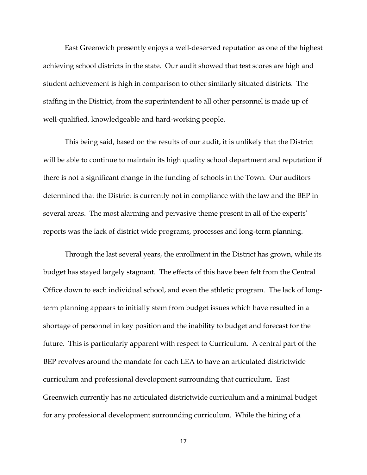East Greenwich presently enjoys a well-deserved reputation as one of the highest achieving school districts in the state. Our audit showed that test scores are high and student achievement is high in comparison to other similarly situated districts. The staffing in the District, from the superintendent to all other personnel is made up of well-qualified, knowledgeable and hard-working people.

This being said, based on the results of our audit, it is unlikely that the District will be able to continue to maintain its high quality school department and reputation if there is not a significant change in the funding of schools in the Town. Our auditors determined that the District is currently not in compliance with the law and the BEP in several areas. The most alarming and pervasive theme present in all of the experts' reports was the lack of district wide programs, processes and long-term planning.

Through the last several years, the enrollment in the District has grown, while its budget has stayed largely stagnant. The effects of this have been felt from the Central Office down to each individual school, and even the athletic program. The lack of longterm planning appears to initially stem from budget issues which have resulted in a shortage of personnel in key position and the inability to budget and forecast for the future. This is particularly apparent with respect to Curriculum. A central part of the BEP revolves around the mandate for each LEA to have an articulated districtwide curriculum and professional development surrounding that curriculum. East Greenwich currently has no articulated districtwide curriculum and a minimal budget for any professional development surrounding curriculum. While the hiring of a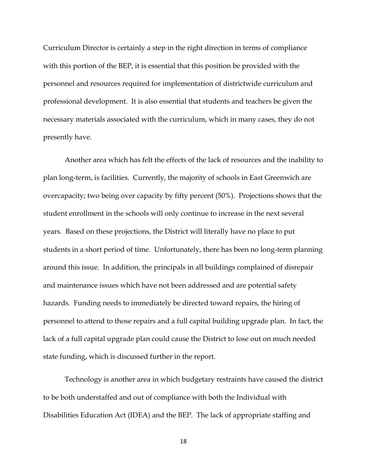Curriculum Director is certainly a step in the right direction in terms of compliance with this portion of the BEP, it is essential that this position be provided with the personnel and resources required for implementation of districtwide curriculum and professional development. It is also essential that students and teachers be given the necessary materials associated with the curriculum, which in many cases, they do not presently have.

Another area which has felt the effects of the lack of resources and the inability to plan long-term, is facilities. Currently, the majority of schools in East Greenwich are overcapacity; two being over capacity by fifty percent (50%). Projections shows that the student enrollment in the schools will only continue to increase in the next several years. Based on these projections, the District will literally have no place to put students in a short period of time. Unfortunately, there has been no long-term planning around this issue. In addition, the principals in all buildings complained of disrepair and maintenance issues which have not been addressed and are potential safety hazards. Funding needs to immediately be directed toward repairs, the hiring of personnel to attend to those repairs and a full capital building upgrade plan. In fact, the lack of a full capital upgrade plan could cause the District to lose out on much needed state funding, which is discussed further in the report.

Technology is another area in which budgetary restraints have caused the district to be both understaffed and out of compliance with both the Individual with Disabilities Education Act (IDEA) and the BEP. The lack of appropriate staffing and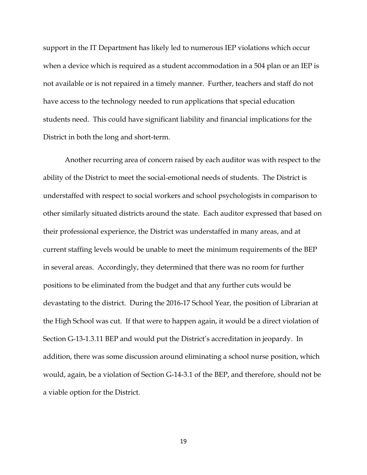support in the IT Department has likely led to numerous IEP violations which occur when a device which is required as a student accommodation in a 504 plan or an IEP is not available or is not repaired in a timely manner. Further, teachers and staff do not have access to the technology needed to run applications that special education students need. This could have significant liability and financial implications for the District in both the long and short-term.

Another recurring area of concern raised by each auditor was with respect to the ability of the District to meet the social-emotional needs of students. The District is understaffed with respect to social workers and school psychologists in comparison to other similarly situated districts around the state. Each auditor expressed that based on their professional experience, the District was understaffed in many areas, and at current staffing levels would be unable to meet the minimum requirements of the BEP in several areas. Accordingly, they determined that there was no room for further positions to be eliminated from the budget and that any further cuts would be devastating to the district. During the 2016-17 School Year, the position of Librarian at the High School was cut. If that were to happen again, it would be a direct violation of Section G-13-1.3.11 BEP and would put the District's accreditation in jeopardy. In addition, there was some discussion around eliminating a school nurse position, which would, again, be a violation of Section G-14-3.1 of the BEP, and therefore, should not be a viable option for the District.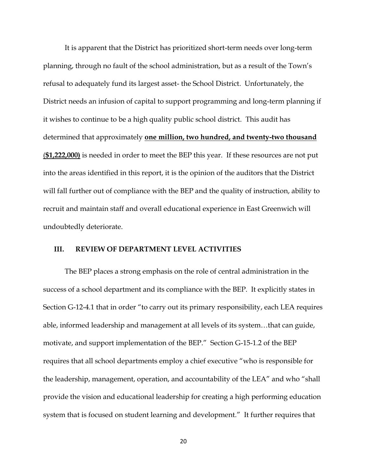It is apparent that the District has prioritized short-term needs over long-term planning, through no fault of the school administration, but as a result of the Town's refusal to adequately fund its largest asset- the School District. Unfortunately, the District needs an infusion of capital to support programming and long-term planning if it wishes to continue to be a high quality public school district. This audit has determined that approximately **one million, two hundred, and twenty-two thousand** (**\$1,222,000)** is needed in order to meet the BEP this year. If these resources are not put into the areas identified in this report, it is the opinion of the auditors that the District will fall further out of compliance with the BEP and the quality of instruction, ability to recruit and maintain staff and overall educational experience in East Greenwich will undoubtedly deteriorate.

#### **III. REVIEW OF DEPARTMENT LEVEL ACTIVITIES**

The BEP places a strong emphasis on the role of central administration in the success of a school department and its compliance with the BEP. It explicitly states in Section G-12-4.1 that in order "to carry out its primary responsibility, each LEA requires able, informed leadership and management at all levels of its system…that can guide, motivate, and support implementation of the BEP." Section G-15-1.2 of the BEP requires that all school departments employ a chief executive "who is responsible for the leadership, management, operation, and accountability of the LEA" and who "shall provide the vision and educational leadership for creating a high performing education system that is focused on student learning and development." It further requires that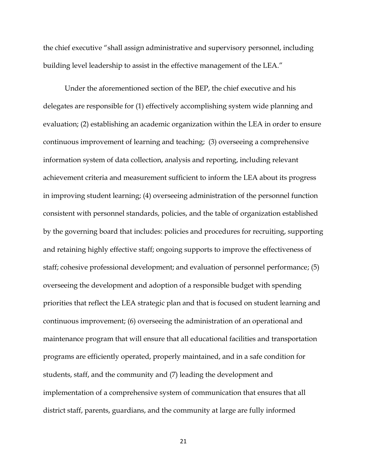the chief executive "shall assign administrative and supervisory personnel, including building level leadership to assist in the effective management of the LEA."

Under the aforementioned section of the BEP, the chief executive and his delegates are responsible for (1) effectively accomplishing system wide planning and evaluation; (2) establishing an academic organization within the LEA in order to ensure continuous improvement of learning and teaching; (3) overseeing a comprehensive information system of data collection, analysis and reporting, including relevant achievement criteria and measurement sufficient to inform the LEA about its progress in improving student learning; (4) overseeing administration of the personnel function consistent with personnel standards, policies, and the table of organization established by the governing board that includes: policies and procedures for recruiting, supporting and retaining highly effective staff; ongoing supports to improve the effectiveness of staff; cohesive professional development; and evaluation of personnel performance; (5) overseeing the development and adoption of a responsible budget with spending priorities that reflect the LEA strategic plan and that is focused on student learning and continuous improvement; (6) overseeing the administration of an operational and maintenance program that will ensure that all educational facilities and transportation programs are efficiently operated, properly maintained, and in a safe condition for students, staff, and the community and (7) leading the development and implementation of a comprehensive system of communication that ensures that all district staff, parents, guardians, and the community at large are fully informed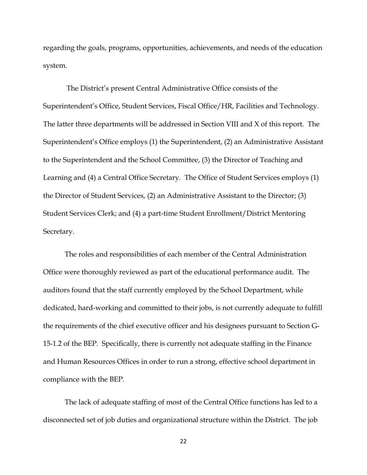regarding the goals, programs, opportunities, achievements, and needs of the education system.

The District's present Central Administrative Office consists of the Superintendent's Office, Student Services, Fiscal Office/HR, Facilities and Technology. The latter three departments will be addressed in Section VIII and X of this report. The Superintendent's Office employs (1) the Superintendent, (2) an Administrative Assistant to the Superintendent and the School Committee, (3) the Director of Teaching and Learning and (4) a Central Office Secretary. The Office of Student Services employs (1) the Director of Student Services, (2) an Administrative Assistant to the Director; (3) Student Services Clerk; and (4) a part-time Student Enrollment/District Mentoring Secretary.

The roles and responsibilities of each member of the Central Administration Office were thoroughly reviewed as part of the educational performance audit. The auditors found that the staff currently employed by the School Department, while dedicated, hard-working and committed to their jobs, is not currently adequate to fulfill the requirements of the chief executive officer and his designees pursuant to Section G‐ 15‐1.2 of the BEP. Specifically, there is currently not adequate staffing in the Finance and Human Resources Offices in order to run a strong, effective school department in compliance with the BEP.

The lack of adequate staffing of most of the Central Office functions has led to a disconnected set of job duties and organizational structure within the District. The job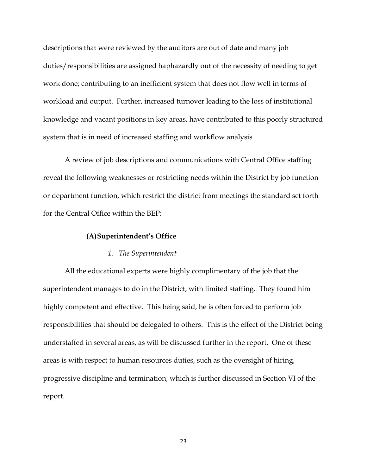descriptions that were reviewed by the auditors are out of date and many job duties/responsibilities are assigned haphazardly out of the necessity of needing to get work done; contributing to an inefficient system that does not flow well in terms of workload and output. Further, increased turnover leading to the loss of institutional knowledge and vacant positions in key areas, have contributed to this poorly structured system that is in need of increased staffing and workflow analysis.

A review of job descriptions and communications with Central Office staffing reveal the following weaknesses or restricting needs within the District by job function or department function, which restrict the district from meetings the standard set forth for the Central Office within the BEP:

#### **(A)Superintendent's Office**

#### *1. The Superintendent*

All the educational experts were highly complimentary of the job that the superintendent manages to do in the District, with limited staffing. They found him highly competent and effective. This being said, he is often forced to perform job responsibilities that should be delegated to others. This is the effect of the District being understaffed in several areas, as will be discussed further in the report. One of these areas is with respect to human resources duties, such as the oversight of hiring, progressive discipline and termination, which is further discussed in Section VI of the report.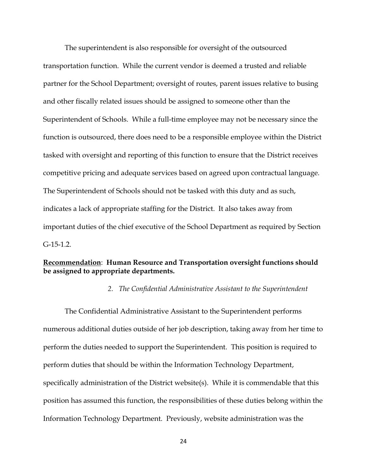The superintendent is also responsible for oversight of the outsourced transportation function. While the current vendor is deemed a trusted and reliable partner for the School Department; oversight of routes, parent issues relative to busing and other fiscally related issues should be assigned to someone other than the Superintendent of Schools. While a full-time employee may not be necessary since the function is outsourced, there does need to be a responsible employee within the District tasked with oversight and reporting of this function to ensure that the District receives competitive pricing and adequate services based on agreed upon contractual language. The Superintendent of Schools should not be tasked with this duty and as such, indicates a lack of appropriate staffing for the District. It also takes away from important duties of the chief executive of the School Department as required by Section G-15-1.2.

## **Recommendation**: **Human Resource and Transportation oversight functions should be assigned to appropriate departments.**

#### *2. The Confidential Administrative Assistant to the Superintendent*

The Confidential Administrative Assistant to the Superintendent performs numerous additional duties outside of her job description, taking away from her time to perform the duties needed to support the Superintendent. This position is required to perform duties that should be within the Information Technology Department, specifically administration of the District website(s). While it is commendable that this position has assumed this function, the responsibilities of these duties belong within the Information Technology Department. Previously, website administration was the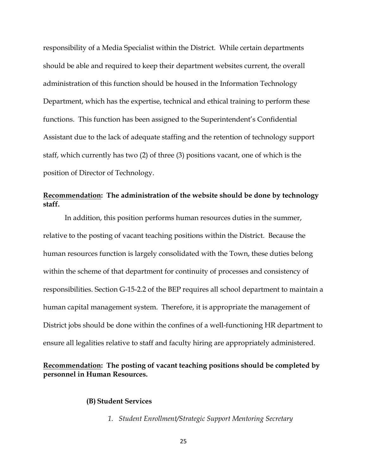responsibility of a Media Specialist within the District. While certain departments should be able and required to keep their department websites current, the overall administration of this function should be housed in the Information Technology Department, which has the expertise, technical and ethical training to perform these functions. This function has been assigned to the Superintendent's Confidential Assistant due to the lack of adequate staffing and the retention of technology support staff, which currently has two (2) of three (3) positions vacant, one of which is the position of Director of Technology.

# **Recommendation: The administration of the website should be done by technology staff.**

In addition, this position performs human resources duties in the summer, relative to the posting of vacant teaching positions within the District. Because the human resources function is largely consolidated with the Town, these duties belong within the scheme of that department for continuity of processes and consistency of responsibilities. Section G-15-2.2 of the BEP requires all school department to maintain a human capital management system. Therefore, it is appropriate the management of District jobs should be done within the confines of a well-functioning HR department to ensure all legalities relative to staff and faculty hiring are appropriately administered.

# **Recommendation: The posting of vacant teaching positions should be completed by personnel in Human Resources.**

#### **(B) Student Services**

*1. Student Enrollment/Strategic Support Mentoring Secretary*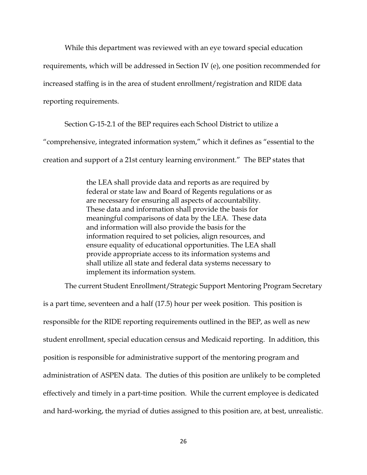While this department was reviewed with an eye toward special education

requirements, which will be addressed in Section IV (e), one position recommended for

increased staffing is in the area of student enrollment/registration and RIDE data

reporting requirements.

Section G‐15‐2.1 of the BEP requires each School District to utilize a

"comprehensive, integrated information system," which it defines as "essential to the

creation and support of a 21st century learning environment." The BEP states that

the LEA shall provide data and reports as are required by federal or state law and Board of Regents regulations or as are necessary for ensuring all aspects of accountability. These data and information shall provide the basis for meaningful comparisons of data by the LEA. These data and information will also provide the basis for the information required to set policies, align resources, and ensure equality of educational opportunities. The LEA shall provide appropriate access to its information systems and shall utilize all state and federal data systems necessary to implement its information system.

The current Student Enrollment/Strategic Support Mentoring Program Secretary

is a part time, seventeen and a half (17.5) hour per week position. This position is responsible for the RIDE reporting requirements outlined in the BEP, as well as new student enrollment, special education census and Medicaid reporting. In addition, this position is responsible for administrative support of the mentoring program and administration of ASPEN data. The duties of this position are unlikely to be completed effectively and timely in a part-time position. While the current employee is dedicated and hard-working, the myriad of duties assigned to this position are, at best, unrealistic.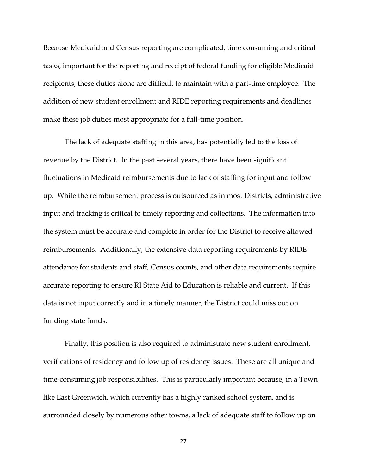Because Medicaid and Census reporting are complicated, time consuming and critical tasks, important for the reporting and receipt of federal funding for eligible Medicaid recipients, these duties alone are difficult to maintain with a part-time employee. The addition of new student enrollment and RIDE reporting requirements and deadlines make these job duties most appropriate for a full-time position.

The lack of adequate staffing in this area, has potentially led to the loss of revenue by the District. In the past several years, there have been significant fluctuations in Medicaid reimbursements due to lack of staffing for input and follow up. While the reimbursement process is outsourced as in most Districts, administrative input and tracking is critical to timely reporting and collections. The information into the system must be accurate and complete in order for the District to receive allowed reimbursements. Additionally, the extensive data reporting requirements by RIDE attendance for students and staff, Census counts, and other data requirements require accurate reporting to ensure RI State Aid to Education is reliable and current. If this data is not input correctly and in a timely manner, the District could miss out on funding state funds.

Finally, this position is also required to administrate new student enrollment, verifications of residency and follow up of residency issues. These are all unique and time-consuming job responsibilities. This is particularly important because, in a Town like East Greenwich, which currently has a highly ranked school system, and is surrounded closely by numerous other towns, a lack of adequate staff to follow up on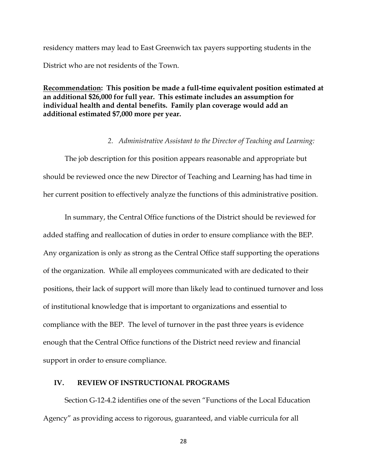residency matters may lead to East Greenwich tax payers supporting students in the District who are not residents of the Town.

**Recommendation: This position be made a full-time equivalent position estimated at an additional \$26,000 for full year. This estimate includes an assumption for individual health and dental benefits. Family plan coverage would add an additional estimated \$7,000 more per year.** 

#### *2. Administrative Assistant to the Director of Teaching and Learning:*

The job description for this position appears reasonable and appropriate but should be reviewed once the new Director of Teaching and Learning has had time in her current position to effectively analyze the functions of this administrative position.

In summary, the Central Office functions of the District should be reviewed for added staffing and reallocation of duties in order to ensure compliance with the BEP. Any organization is only as strong as the Central Office staff supporting the operations of the organization. While all employees communicated with are dedicated to their positions, their lack of support will more than likely lead to continued turnover and loss of institutional knowledge that is important to organizations and essential to compliance with the BEP. The level of turnover in the past three years is evidence enough that the Central Office functions of the District need review and financial support in order to ensure compliance.

#### **IV. REVIEW OF INSTRUCTIONAL PROGRAMS**

Section G‐12‐4.2 identifies one of the seven "Functions of the Local Education Agency" as providing access to rigorous, guaranteed, and viable curricula for all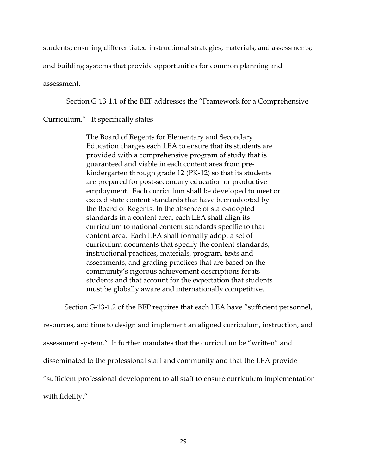students; ensuring differentiated instructional strategies, materials, and assessments;

and building systems that provide opportunities for common planning and

assessment.

Section G‐13‐1.1 of the BEP addresses the "Framework for a Comprehensive

#### Curriculum." It specifically states

The Board of Regents for Elementary and Secondary Education charges each LEA to ensure that its students are provided with a comprehensive program of study that is guaranteed and viable in each content area from pre‐ kindergarten through grade 12 (PK‐12) so that its students are prepared for post‐secondary education or productive employment. Each curriculum shall be developed to meet or exceed state content standards that have been adopted by the Board of Regents. In the absence of state‐adopted standards in a content area, each LEA shall align its curriculum to national content standards specific to that content area. Each LEA shall formally adopt a set of curriculum documents that specify the content standards, instructional practices, materials, program, texts and assessments, and grading practices that are based on the community's rigorous achievement descriptions for its students and that account for the expectation that students must be globally aware and internationally competitive.

Section G-13-1.2 of the BEP requires that each LEA have "sufficient personnel,

resources, and time to design and implement an aligned curriculum, instruction, and assessment system." It further mandates that the curriculum be "written" and disseminated to the professional staff and community and that the LEA provide "sufficient professional development to all staff to ensure curriculum implementation with fidelity."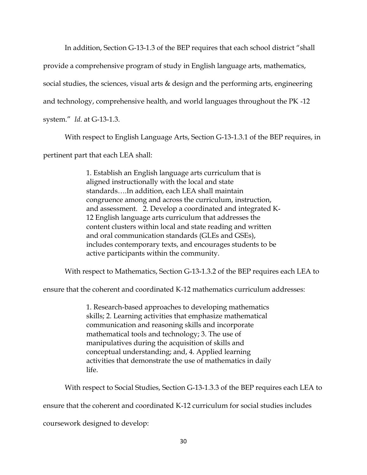In addition, Section G-13-1.3 of the BEP requires that each school district "shall

provide a comprehensive program of study in English language arts, mathematics,

social studies, the sciences, visual arts & design and the performing arts, engineering

and technology, comprehensive health, and world languages throughout the PK ‐12

system." *Id*. at G‐13‐1.3.

With respect to English Language Arts, Section G-13-1.3.1 of the BEP requires, in

pertinent part that each LEA shall:

1. Establish an English language arts curriculum that is aligned instructionally with the local and state standards….In addition, each LEA shall maintain congruence among and across the curriculum, instruction, and assessment. 2. Develop a coordinated and integrated K‐ 12 English language arts curriculum that addresses the content clusters within local and state reading and written and oral communication standards (GLEs and GSEs), includes contemporary texts, and encourages students to be active participants within the community.

With respect to Mathematics, Section G‐13‐1.3.2 of the BEP requires each LEA to

ensure that the coherent and coordinated K‐12 mathematics curriculum addresses:

1. Research‐based approaches to developing mathematics skills; 2. Learning activities that emphasize mathematical communication and reasoning skills and incorporate mathematical tools and technology; 3. The use of manipulatives during the acquisition of skills and conceptual understanding; and, 4. Applied learning activities that demonstrate the use of mathematics in daily life.

With respect to Social Studies, Section G‐13‐1.3.3 of the BEP requires each LEA to

ensure that the coherent and coordinated K‐12 curriculum for social studies includes

coursework designed to develop: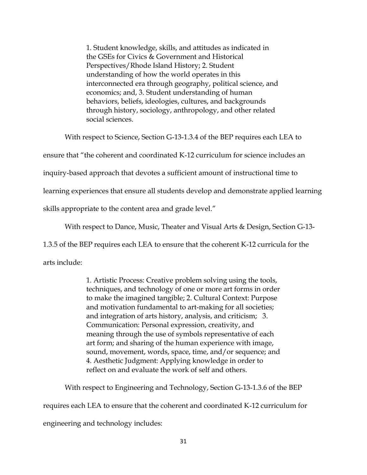1. Student knowledge, skills, and attitudes as indicated in the GSEs for Civics & Government and Historical Perspectives/Rhode Island History; 2. Student understanding of how the world operates in this interconnected era through geography, political science, and economics; and, 3. Student understanding of human behaviors, beliefs, ideologies, cultures, and backgrounds through history, sociology, anthropology, and other related social sciences.

With respect to Science, Section G-13-1.3.4 of the BEP requires each LEA to

ensure that "the coherent and coordinated K‐12 curriculum for science includes an

inquiry‐based approach that devotes a sufficient amount of instructional time to

learning experiences that ensure all students develop and demonstrate applied learning

skills appropriate to the content area and grade level."

With respect to Dance, Music, Theater and Visual Arts & Design, Section G‐13‐

1.3.5 of the BEP requires each LEA to ensure that the coherent K‐12 curricula for the

arts include:

1. Artistic Process: Creative problem solving using the tools, techniques, and technology of one or more art forms in order to make the imagined tangible; 2. Cultural Context: Purpose and motivation fundamental to art‐making for all societies; and integration of arts history, analysis, and criticism; 3. Communication: Personal expression, creativity, and meaning through the use of symbols representative of each art form; and sharing of the human experience with image, sound, movement, words, space, time, and/or sequence; and 4. Aesthetic Judgment: Applying knowledge in order to reflect on and evaluate the work of self and others.

With respect to Engineering and Technology, Section G‐13‐1.3.6 of the BEP

requires each LEA to ensure that the coherent and coordinated K‐12 curriculum for

engineering and technology includes: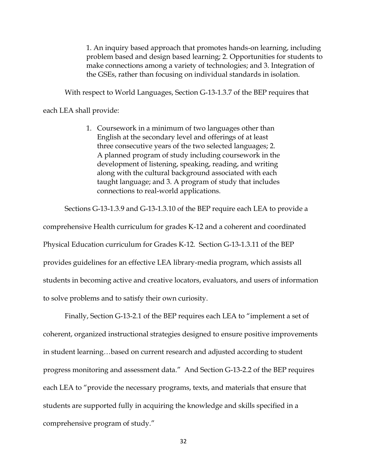1. An inquiry based approach that promotes hands‐on learning, including problem based and design based learning; 2. Opportunities for students to make connections among a variety of technologies; and 3. Integration of the GSEs, rather than focusing on individual standards in isolation.

With respect to World Languages, Section G‐13‐1.3.7 of the BEP requires that

#### each LEA shall provide:

1. Coursework in a minimum of two languages other than English at the secondary level and offerings of at least three consecutive years of the two selected languages; 2. A planned program of study including coursework in the development of listening, speaking, reading, and writing along with the cultural background associated with each taught language; and 3. A program of study that includes connections to real‐world applications.

Sections G‐13‐1.3.9 and G-13-1.3.10 of the BEP require each LEA to provide a

comprehensive Health curriculum for grades K-12 and a coherent and coordinated Physical Education curriculum for Grades K-12. Section G‐13‐1.3.11 of the BEP provides guidelines for an effective LEA library-media program, which assists all students in becoming active and creative locators, evaluators, and users of information to solve problems and to satisfy their own curiosity.

Finally, Section G-13-2.1 of the BEP requires each LEA to "implement a set of coherent, organized instructional strategies designed to ensure positive improvements in student learning…based on current research and adjusted according to student progress monitoring and assessment data." And Section G-13-2.2 of the BEP requires each LEA to "provide the necessary programs, texts, and materials that ensure that students are supported fully in acquiring the knowledge and skills specified in a comprehensive program of study."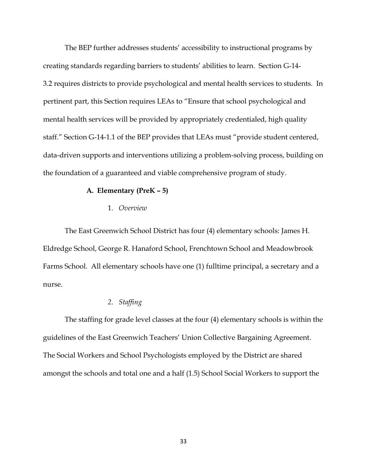The BEP further addresses students' accessibility to instructional programs by creating standards regarding barriers to students' abilities to learn. Section G‐14‐ 3.2 requires districts to provide psychological and mental health services to students. In pertinent part, this Section requires LEAs to "Ensure that school psychological and mental health services will be provided by appropriately credentialed, high quality staff." Section G-14-1.1 of the BEP provides that LEAs must "provide student centered, data-driven supports and interventions utilizing a problem-solving process, building on the foundation of a guaranteed and viable comprehensive program of study.

#### **A. Elementary (PreK – 5)**

### 1. *Overview*

The East Greenwich School District has four (4) elementary schools: James H. Eldredge School, George R. Hanaford School, Frenchtown School and Meadowbrook Farms School. All elementary schools have one (1) fulltime principal, a secretary and a nurse.

### *2. Staffing*

The staffing for grade level classes at the four (4) elementary schools is within the guidelines of the East Greenwich Teachers' Union Collective Bargaining Agreement. The Social Workers and School Psychologists employed by the District are shared amongst the schools and total one and a half (1.5) School Social Workers to support the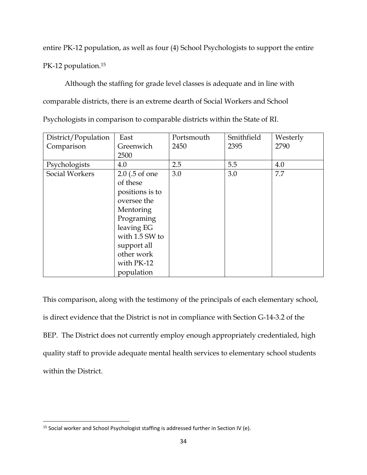entire PK-12 population, as well as four (4) School Psychologists to support the entire

PK-12 population.<sup>15</sup>

 $\overline{\phantom{a}}$ 

Although the staffing for grade level classes is adequate and in line with comparable districts, there is an extreme dearth of Social Workers and School

Psychologists in comparison to comparable districts within the State of RI.

| District/Population | East             | Portsmouth | Smithfield | Westerly |
|---------------------|------------------|------------|------------|----------|
| Comparison          | Greenwich        | 2450       | 2395       | 2790     |
|                     | 2500             |            |            |          |
| Psychologists       | 4.0              | 2.5        | 5.5        | 4.0      |
| Social Workers      | $2.0$ (.5 of one | 3.0        | 3.0        | 7.7      |
|                     | of these         |            |            |          |
|                     | positions is to  |            |            |          |
|                     | oversee the      |            |            |          |
|                     | Mentoring        |            |            |          |
|                     | Programing       |            |            |          |
|                     | leaving EG       |            |            |          |
|                     | with 1.5 SW to   |            |            |          |
|                     | support all      |            |            |          |
|                     | other work       |            |            |          |
|                     | with PK-12       |            |            |          |
|                     | population       |            |            |          |

This comparison, along with the testimony of the principals of each elementary school, is direct evidence that the District is not in compliance with Section G‐14‐3.2 of the BEP. The District does not currently employ enough appropriately credentialed, high quality staff to provide adequate mental health services to elementary school students within the District.

<sup>&</sup>lt;sup>15</sup> Social worker and School Psychologist staffing is addressed further in Section IV (e).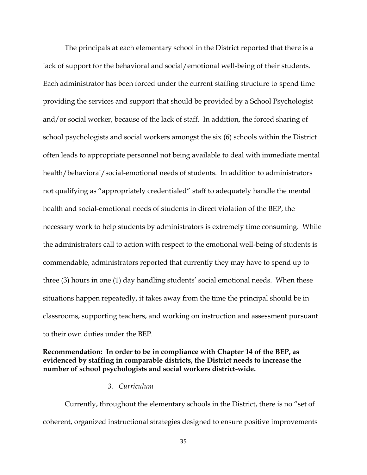The principals at each elementary school in the District reported that there is a lack of support for the behavioral and social/emotional well-being of their students. Each administrator has been forced under the current staffing structure to spend time providing the services and support that should be provided by a School Psychologist and/or social worker, because of the lack of staff. In addition, the forced sharing of school psychologists and social workers amongst the six (6) schools within the District often leads to appropriate personnel not being available to deal with immediate mental health/behavioral/social-emotional needs of students. In addition to administrators not qualifying as "appropriately credentialed" staff to adequately handle the mental health and social-emotional needs of students in direct violation of the BEP, the necessary work to help students by administrators is extremely time consuming. While the administrators call to action with respect to the emotional well-being of students is commendable, administrators reported that currently they may have to spend up to three (3) hours in one (1) day handling students' social emotional needs. When these situations happen repeatedly, it takes away from the time the principal should be in classrooms, supporting teachers, and working on instruction and assessment pursuant to their own duties under the BEP.

# **Recommendation: In order to be in compliance with Chapter 14 of the BEP, as evidenced by staffing in comparable districts, the District needs to increase the number of school psychologists and social workers district-wide.**

#### *3. Curriculum*

Currently, throughout the elementary schools in the District, there is no "set of coherent, organized instructional strategies designed to ensure positive improvements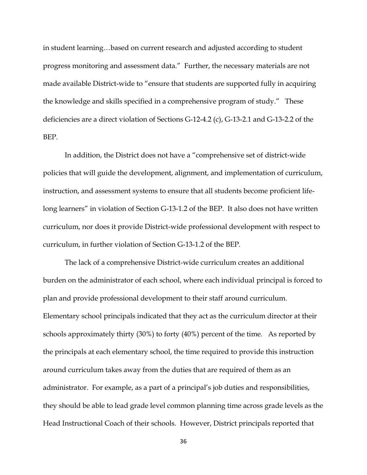in student learning…based on current research and adjusted according to student progress monitoring and assessment data." Further, the necessary materials are not made available District-wide to "ensure that students are supported fully in acquiring the knowledge and skills specified in a comprehensive program of study." These deficiencies are a direct violation of Sections G‐12‐4.2 (c), G‐13‐2.1 and G-13-2.2 of the BEP.

In addition, the District does not have a "comprehensive set of district-wide policies that will guide the development, alignment, and implementation of curriculum, instruction, and assessment systems to ensure that all students become proficient lifelong learners" in violation of Section G-13-1.2 of the BEP. It also does not have written curriculum, nor does it provide District-wide professional development with respect to curriculum, in further violation of Section G‐13‐1.2 of the BEP.

The lack of a comprehensive District-wide curriculum creates an additional burden on the administrator of each school, where each individual principal is forced to plan and provide professional development to their staff around curriculum. Elementary school principals indicated that they act as the curriculum director at their schools approximately thirty (30%) to forty (40%) percent of the time. As reported by the principals at each elementary school, the time required to provide this instruction around curriculum takes away from the duties that are required of them as an administrator. For example, as a part of a principal's job duties and responsibilities, they should be able to lead grade level common planning time across grade levels as the Head Instructional Coach of their schools. However, District principals reported that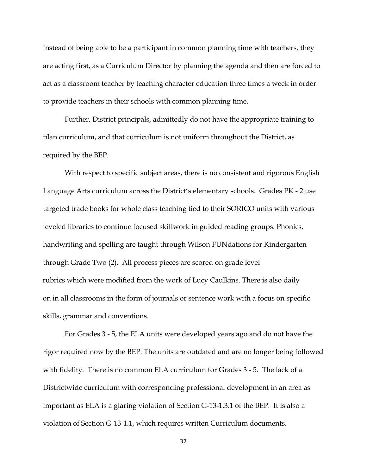instead of being able to be a participant in common planning time with teachers, they are acting first, as a Curriculum Director by planning the agenda and then are forced to act as a classroom teacher by teaching character education three times a week in order to provide teachers in their schools with common planning time.

Further, District principals, admittedly do not have the appropriate training to plan curriculum, and that curriculum is not uniform throughout the District, as required by the BEP.

With respect to specific subject areas, there is no consistent and rigorous English Language Arts curriculum across the District's elementary schools. Grades PK - 2 use targeted trade books for whole class teaching tied to their SORICO units with various leveled libraries to continue focused skillwork in guided reading groups. Phonics, handwriting and spelling are taught through Wilson FUNdations for Kindergarten through Grade Two (2). All process pieces are scored on grade level rubrics which were modified from the work of Lucy Caulkins. There is also daily on in all classrooms in the form of journals or sentence work with a focus on specific skills, grammar and conventions.

For Grades 3 - 5, the ELA units were developed years ago and do not have the rigor required now by the BEP. The units are outdated and are no longer being followed with fidelity. There is no common ELA curriculum for Grades 3 - 5. The lack of a Districtwide curriculum with corresponding professional development in an area as important as ELA is a glaring violation of Section G-13-1.3.1 of the BEP. It is also a violation of Section G‐13‐1.1, which requires written Curriculum documents.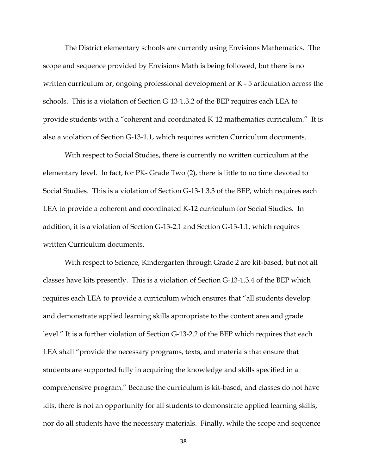The District elementary schools are currently using Envisions Mathematics. The scope and sequence provided by Envisions Math is being followed, but there is no written curriculum or, ongoing professional development or K - 5 articulation across the schools. This is a violation of Section G‐13‐1.3.2 of the BEP requires each LEA to provide students with a "coherent and coordinated K‐12 mathematics curriculum." It is also a violation of Section G‐13‐1.1, which requires written Curriculum documents.

With respect to Social Studies, there is currently no written curriculum at the elementary level. In fact, for PK- Grade Two (2), there is little to no time devoted to Social Studies. This is a violation of Section G‐13‐1.3.3 of the BEP, which requires each LEA to provide a coherent and coordinated K‐12 curriculum for Social Studies. In addition, it is a violation of Section G‐13‐2.1 and Section G‐13‐1.1, which requires written Curriculum documents.

With respect to Science, Kindergarten through Grade 2 are kit-based, but not all classes have kits presently. This is a violation of Section G‐13‐1.3.4 of the BEP which requires each LEA to provide a curriculum which ensures that "all students develop and demonstrate applied learning skills appropriate to the content area and grade level." It is a further violation of Section G‐13‐2.2 of the BEP which requires that each LEA shall "provide the necessary programs, texts, and materials that ensure that students are supported fully in acquiring the knowledge and skills specified in a comprehensive program." Because the curriculum is kit-based, and classes do not have kits, there is not an opportunity for all students to demonstrate applied learning skills, nor do all students have the necessary materials. Finally, while the scope and sequence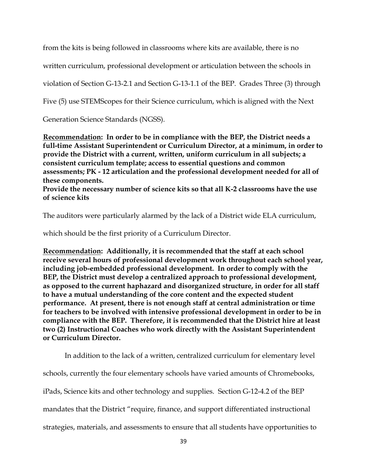from the kits is being followed in classrooms where kits are available, there is no

written curriculum, professional development or articulation between the schools in

violation of Section G‐13‐2.1 and Section G‐13‐1.1 of the BEP. Grades Three (3) through

Five (5) use STEMScopes for their Science curriculum, which is aligned with the Next

Generation Science Standards (NGSS).

**Recommendation: In order to be in compliance with the BEP, the District needs a full-time Assistant Superintendent or Curriculum Director, at a minimum, in order to provide the District with a current, written, uniform curriculum in all subjects; a consistent curriculum template; access to essential questions and common assessments; PK - 12 articulation and the professional development needed for all of these components.**

**Provide the necessary number of science kits so that all K-2 classrooms have the use of science kits**

The auditors were particularly alarmed by the lack of a District wide ELA curriculum,

which should be the first priority of a Curriculum Director.

**Recommendation: Additionally, it is recommended that the staff at each school receive several hours of professional development work throughout each school year, including job-embedded professional development. In order to comply with the BEP, the District must develop a centralized approach to professional development, as opposed to the current haphazard and disorganized structure, in order for all staff to have a mutual understanding of the core content and the expected student performance. At present, there is not enough staff at central administration or time for teachers to be involved with intensive professional development in order to be in compliance with the BEP. Therefore, it is recommended that the District hire at least two (2) Instructional Coaches who work directly with the Assistant Superintendent or Curriculum Director.** 

In addition to the lack of a written, centralized curriculum for elementary level schools, currently the four elementary schools have varied amounts of Chromebooks, iPads, Science kits and other technology and supplies. Section G-12-4.2 of the BEP mandates that the District "require, finance, and support differentiated instructional strategies, materials, and assessments to ensure that all students have opportunities to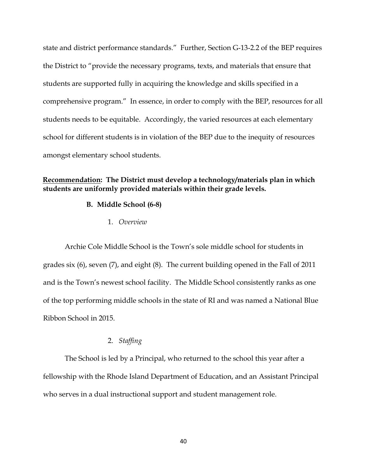state and district performance standards." Further, Section G‐13‐2.2 of the BEP requires the District to "provide the necessary programs, texts, and materials that ensure that students are supported fully in acquiring the knowledge and skills specified in a comprehensive program." In essence, in order to comply with the BEP, resources for all students needs to be equitable. Accordingly, the varied resources at each elementary school for different students is in violation of the BEP due to the inequity of resources amongst elementary school students.

# **Recommendation: The District must develop a technology/materials plan in which students are uniformly provided materials within their grade levels.**

### **B. Middle School (6-8)**

1. *Overview*

Archie Cole Middle School is the Town's sole middle school for students in grades six (6), seven (7), and eight (8). The current building opened in the Fall of 2011 and is the Town's newest school facility. The Middle School consistently ranks as one of the top performing middle schools in the state of RI and was named a National Blue Ribbon School in 2015.

# 2. *Staffing*

The School is led by a Principal, who returned to the school this year after a fellowship with the Rhode Island Department of Education, and an Assistant Principal who serves in a dual instructional support and student management role.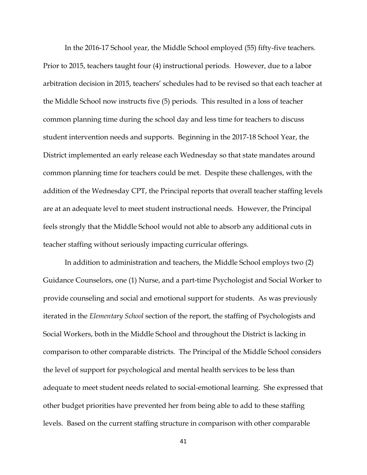In the 2016-17 School year, the Middle School employed (55) fifty-five teachers. Prior to 2015, teachers taught four (4) instructional periods. However, due to a labor arbitration decision in 2015, teachers' schedules had to be revised so that each teacher at the Middle School now instructs five (5) periods. This resulted in a loss of teacher common planning time during the school day and less time for teachers to discuss student intervention needs and supports. Beginning in the 2017-18 School Year, the District implemented an early release each Wednesday so that state mandates around common planning time for teachers could be met. Despite these challenges, with the addition of the Wednesday CPT, the Principal reports that overall teacher staffing levels are at an adequate level to meet student instructional needs. However, the Principal feels strongly that the Middle School would not able to absorb any additional cuts in teacher staffing without seriously impacting curricular offerings.

In addition to administration and teachers, the Middle School employs two (2) Guidance Counselors, one (1) Nurse, and a part-time Psychologist and Social Worker to provide counseling and social and emotional support for students. As was previously iterated in the *Elementary School* section of the report, the staffing of Psychologists and Social Workers, both in the Middle School and throughout the District is lacking in comparison to other comparable districts. The Principal of the Middle School considers the level of support for psychological and mental health services to be less than adequate to meet student needs related to social-emotional learning. She expressed that other budget priorities have prevented her from being able to add to these staffing levels. Based on the current staffing structure in comparison with other comparable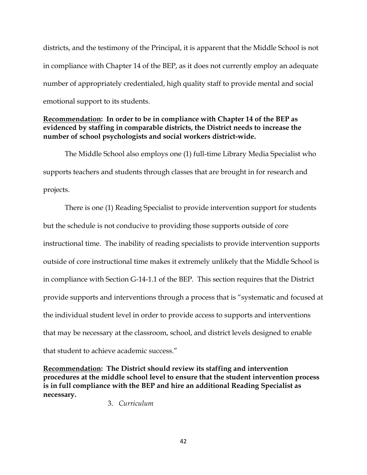districts, and the testimony of the Principal, it is apparent that the Middle School is not in compliance with Chapter 14 of the BEP, as it does not currently employ an adequate number of appropriately credentialed, high quality staff to provide mental and social emotional support to its students.

# **Recommendation: In order to be in compliance with Chapter 14 of the BEP as evidenced by staffing in comparable districts, the District needs to increase the number of school psychologists and social workers district-wide.**

The Middle School also employs one (1) full-time Library Media Specialist who supports teachers and students through classes that are brought in for research and projects.

There is one (1) Reading Specialist to provide intervention support for students but the schedule is not conducive to providing those supports outside of core instructional time. The inability of reading specialists to provide intervention supports outside of core instructional time makes it extremely unlikely that the Middle School is in compliance with Section G-14-1.1 of the BEP. This section requires that the District provide supports and interventions through a process that is "systematic and focused at the individual student level in order to provide access to supports and interventions that may be necessary at the classroom, school, and district levels designed to enable that student to achieve academic success."

**Recommendation: The District should review its staffing and intervention procedures at the middle school level to ensure that the student intervention process is in full compliance with the BEP and hire an additional Reading Specialist as necessary.**

3. *Curriculum*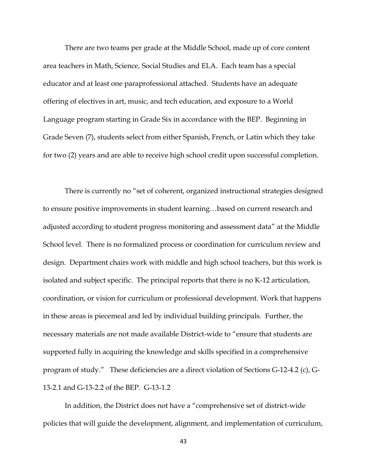There are two teams per grade at the Middle School, made up of core content area teachers in Math, Science, Social Studies and ELA. Each team has a special educator and at least one paraprofessional attached. Students have an adequate offering of electives in art, music, and tech education, and exposure to a World Language program starting in Grade Six in accordance with the BEP. Beginning in Grade Seven (7), students select from either Spanish, French, or Latin which they take for two (2) years and are able to receive high school credit upon successful completion.

There is currently no "set of coherent, organized instructional strategies designed to ensure positive improvements in student learning…based on current research and adjusted according to student progress monitoring and assessment data" at the Middle School level. There is no formalized process or coordination for curriculum review and design. Department chairs work with middle and high school teachers, but this work is isolated and subject specific. The principal reports that there is no K-12 articulation, coordination, or vision for curriculum or professional development. Work that happens in these areas is piecemeal and led by individual building principals. Further, the necessary materials are not made available District-wide to "ensure that students are supported fully in acquiring the knowledge and skills specified in a comprehensive program of study." These deficiencies are a direct violation of Sections G‐12‐4.2 (c), G‐ 13‐2.1 and G-13-2.2 of the BEP. G‐13‐1.2

In addition, the District does not have a "comprehensive set of district-wide policies that will guide the development, alignment, and implementation of curriculum,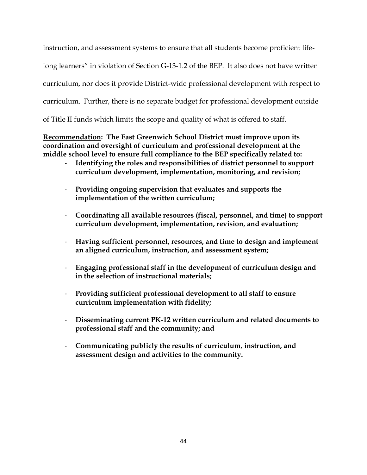instruction, and assessment systems to ensure that all students become proficient life-

long learners" in violation of Section G-13-1.2 of the BEP. It also does not have written

curriculum, nor does it provide District-wide professional development with respect to

curriculum. Further, there is no separate budget for professional development outside

of Title II funds which limits the scope and quality of what is offered to staff.

**Recommendation: The East Greenwich School District must improve upon its coordination and oversight of curriculum and professional development at the middle school level to ensure full compliance to the BEP specifically related to:** 

- **Identifying the roles and responsibilities of district personnel to support curriculum development, implementation, monitoring, and revision;**
- **Providing ongoing supervision that evaluates and supports the implementation of the written curriculum;**
- **Coordinating all available resources (fiscal, personnel, and time) to support curriculum development, implementation, revision, and evaluation;**
- **Having sufficient personnel, resources, and time to design and implement an aligned curriculum, instruction, and assessment system;**
- **Engaging professional staff in the development of curriculum design and in the selection of instructional materials;**
- **Providing sufficient professional development to all staff to ensure curriculum implementation with fidelity;**
- **Disseminating current PK-12 written curriculum and related documents to professional staff and the community; and**
- **Communicating publicly the results of curriculum, instruction, and assessment design and activities to the community.**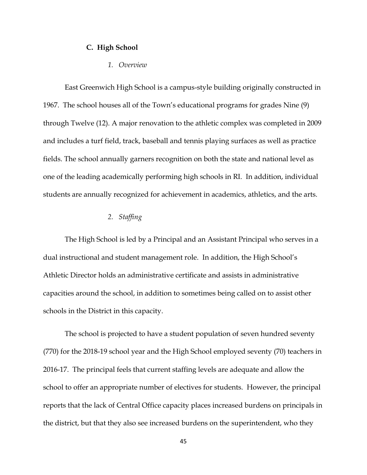### **C. High School**

### *1. Overview*

East Greenwich High School is a campus-style building originally constructed in 1967. The school houses all of the Town's educational programs for grades Nine (9) through Twelve (12). A major renovation to the athletic complex was completed in 2009 and includes a turf field, track, baseball and tennis playing surfaces as well as practice fields. The school annually garners recognition on both the state and national level as one of the leading academically performing high schools in RI. In addition, individual students are annually recognized for achievement in academics, athletics, and the arts.

### *2. Staffing*

The High School is led by a Principal and an Assistant Principal who serves in a dual instructional and student management role. In addition, the High School's Athletic Director holds an administrative certificate and assists in administrative capacities around the school, in addition to sometimes being called on to assist other schools in the District in this capacity.

The school is projected to have a student population of seven hundred seventy (770) for the 2018-19 school year and the High School employed seventy (70) teachers in 2016-17. The principal feels that current staffing levels are adequate and allow the school to offer an appropriate number of electives for students. However, the principal reports that the lack of Central Office capacity places increased burdens on principals in the district, but that they also see increased burdens on the superintendent, who they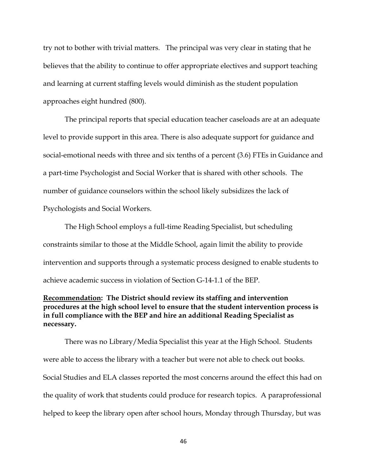try not to bother with trivial matters. The principal was very clear in stating that he believes that the ability to continue to offer appropriate electives and support teaching and learning at current staffing levels would diminish as the student population approaches eight hundred (800).

The principal reports that special education teacher caseloads are at an adequate level to provide support in this area. There is also adequate support for guidance and social-emotional needs with three and six tenths of a percent (3.6) FTEs in Guidance and a part-time Psychologist and Social Worker that is shared with other schools. The number of guidance counselors within the school likely subsidizes the lack of Psychologists and Social Workers.

The High School employs a full-time Reading Specialist, but scheduling constraints similar to those at the Middle School, again limit the ability to provide intervention and supports through a systematic process designed to enable students to achieve academic success in violation of Section G-14-1.1 of the BEP.

# **Recommendation: The District should review its staffing and intervention procedures at the high school level to ensure that the student intervention process is in full compliance with the BEP and hire an additional Reading Specialist as necessary.**

There was no Library/Media Specialist this year at the High School. Students were able to access the library with a teacher but were not able to check out books. Social Studies and ELA classes reported the most concerns around the effect this had on the quality of work that students could produce for research topics. A paraprofessional helped to keep the library open after school hours, Monday through Thursday, but was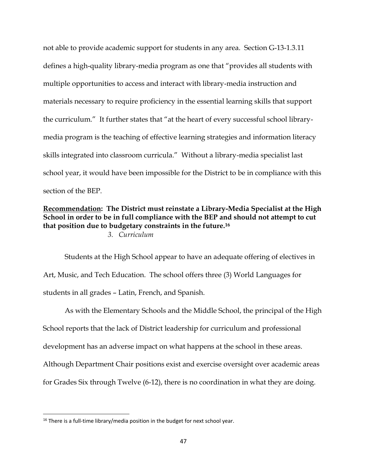not able to provide academic support for students in any area. Section G-13-1.3.11 defines a high-quality library-media program as one that "provides all students with multiple opportunities to access and interact with library-media instruction and materials necessary to require proficiency in the essential learning skills that support the curriculum." It further states that "at the heart of every successful school librarymedia program is the teaching of effective learning strategies and information literacy skills integrated into classroom curricula." Without a library-media specialist last school year, it would have been impossible for the District to be in compliance with this section of the BEP.

## **Recommendation: The District must reinstate a Library-Media Specialist at the High School in order to be in full compliance with the BEP and should not attempt to cut that position due to budgetary constraints in the future.<sup>16</sup>**  *3. Curriculum*

Students at the High School appear to have an adequate offering of electives in Art, Music, and Tech Education.The school offers three (3) World Languages for students in all grades – Latin, French, and Spanish.

As with the Elementary Schools and the Middle School, the principal of the High School reports that the lack of District leadership for curriculum and professional development has an adverse impact on what happens at the school in these areas. Although Department Chair positions exist and exercise oversight over academic areas for Grades Six through Twelve (6-12), there is no coordination in what they are doing.

 $\overline{\phantom{a}}$ 

 $16$  There is a full-time library/media position in the budget for next school year.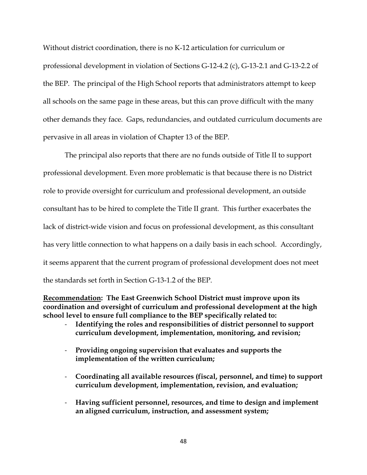Without district coordination, there is no K-12 articulation for curriculum or professional development in violation of Sections G‐12‐4.2 (c), G‐13‐2.1 and G-13-2.2 of the BEP. The principal of the High School reports that administrators attempt to keep all schools on the same page in these areas, but this can prove difficult with the many other demands they face. Gaps, redundancies, and outdated curriculum documents are pervasive in all areas in violation of Chapter 13 of the BEP.

The principal also reports that there are no funds outside of Title II to support professional development. Even more problematic is that because there is no District role to provide oversight for curriculum and professional development, an outside consultant has to be hired to complete the Title II grant. This further exacerbates the lack of district-wide vision and focus on professional development, as this consultant has very little connection to what happens on a daily basis in each school. Accordingly, it seems apparent that the current program of professional development does not meet the standards set forth in Section G-13-1.2 of the BEP.

## **Recommendation: The East Greenwich School District must improve upon its coordination and oversight of curriculum and professional development at the high school level to ensure full compliance to the BEP specifically related to:**

- **Identifying the roles and responsibilities of district personnel to support curriculum development, implementation, monitoring, and revision;**
- **Providing ongoing supervision that evaluates and supports the implementation of the written curriculum;**
- **Coordinating all available resources (fiscal, personnel, and time) to support curriculum development, implementation, revision, and evaluation;**
- **Having sufficient personnel, resources, and time to design and implement an aligned curriculum, instruction, and assessment system;**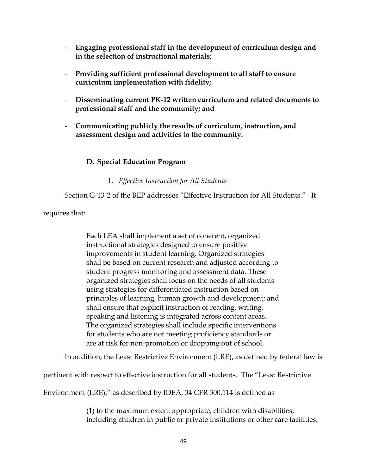- **Engaging professional staff in the development of curriculum design and in the selection of instructional materials;**
- **Providing sufficient professional development to all staff to ensure curriculum implementation with fidelity;**
- **Disseminating current PK-12 written curriculum and related documents to professional staff and the community; and**
- **Communicating publicly the results of curriculum, instruction, and assessment design and activities to the community.**

# **D. Special Education Program**

# 1. *Effective Instruction for All Students*

Section G-13-2 of the BEP addresses "Effective Instruction for All Students." It

requires that:

Each LEA shall implement a set of coherent, organized instructional strategies designed to ensure positive improvements in student learning. Organized strategies shall be based on current research and adjusted according to student progress monitoring and assessment data. These organized strategies shall focus on the needs of all students using strategies for differentiated instruction based on principles of learning, human growth and development; and shall ensure that explicit instruction of reading, writing, speaking and listening is integrated across content areas. The organized strategies shall include specific interventions for students who are not meeting proficiency standards or are at risk for non‐promotion or dropping out of school.

In addition, the Least Restrictive Environment (LRE), as defined by federal law is

pertinent with respect to effective instruction for all students. The "Least Restrictive

Environment (LRE)," as described by IDEA, 34 CFR 300.114 is defined as

(1) to the maximum extent appropriate, children with disabilities, including children in public or private institutions or other care facilities,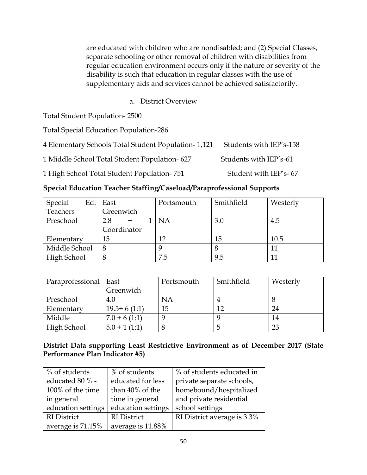are educated with children who are nondisabled; and (2) Special Classes, separate schooling or other removal of children with disabilities from regular education environment occurs only if the nature or severity of the disability is such that education in regular classes with the use of supplementary aids and services cannot be achieved satisfactorily.

# a. District Overview

Total Student Population- 2500

Total Special Education Population-286

| 4 Elementary Schools Total Student Population-1,121 Students with IEP's-158 |                        |
|-----------------------------------------------------------------------------|------------------------|
| 1 Middle School Total Student Population-627                                | Students with IEP's-61 |

1 High School Total Student Population-751 Student with IEP's-67

|  |  |  |  | Special Education Teacher Staffing/Caseload/Paraprofessional Supports |
|--|--|--|--|-----------------------------------------------------------------------|
|--|--|--|--|-----------------------------------------------------------------------|

| Special<br>Ed. | East        | Portsmouth | Smithfield | Westerly |
|----------------|-------------|------------|------------|----------|
| Teachers       | Greenwich   |            |            |          |
| Preschool      | 2.8         | NΑ         | 3.0        | 4.5      |
|                | Coordinator |            |            |          |
| Elementary     | 15          | 12         | 15         | 10.5     |
| Middle School  | 8           |            |            |          |
| High School    | 8           | 7.5        | 9.5        |          |

| Paraprofessional | East           | Portsmouth | Smithfield | Westerly |
|------------------|----------------|------------|------------|----------|
|                  | Greenwich      |            |            |          |
| Preschool        | 4.0            | NA         |            |          |
| Elementary       | $19.5+6(1:1)$  | 15         |            | 24       |
| Middle           | $7.0 + 6(1:1)$ |            |            | 14       |
| High School      | $5.0 + 1(1:1)$ |            |            | 23       |

# **District Data supporting Least Restrictive Environment as of December 2017 (State Performance Plan Indicator #5)**

| % of students      | % of students      | % of students educated in   |
|--------------------|--------------------|-----------------------------|
| educated 80 % -    | educated for less  | private separate schools,   |
| 100% of the time   | than 40% of the    | homebound/hospitalized      |
| in general         | time in general    | and private residential     |
| education settings | education settings | school settings             |
| <b>RI</b> District | <b>RI</b> District | RI District average is 3.3% |
| average is 71.15%  | average is 11.88%  |                             |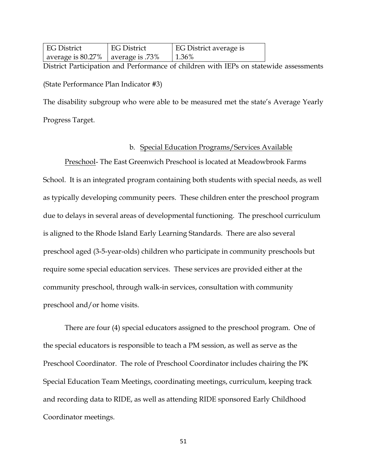| <b>EG District</b>                   | <b>EG District</b> | EG District average is |
|--------------------------------------|--------------------|------------------------|
| average is $80.27\%$ average is .73% |                    | $1.36\%$               |

District Participation and Performance of children with IEPs on statewide assessments (State Performance Plan Indicator #3)

The disability subgroup who were able to be measured met the state's Average Yearly Progress Target.

## b. Special Education Programs/Services Available

Preschool- The East Greenwich Preschool is located at Meadowbrook Farms School. It is an integrated program containing both students with special needs, as well as typically developing community peers. These children enter the preschool program due to delays in several areas of developmental functioning. The preschool curriculum is aligned to the Rhode Island Early Learning Standards. There are also several preschool aged (3-5-year-olds) children who participate in community preschools but require some special education services. These services are provided either at the community preschool, through walk-in services, consultation with community preschool and/or home visits.

There are four (4) special educators assigned to the preschool program. One of the special educators is responsible to teach a PM session, as well as serve as the Preschool Coordinator. The role of Preschool Coordinator includes chairing the PK Special Education Team Meetings, coordinating meetings, curriculum, keeping track and recording data to RIDE, as well as attending RIDE sponsored Early Childhood Coordinator meetings.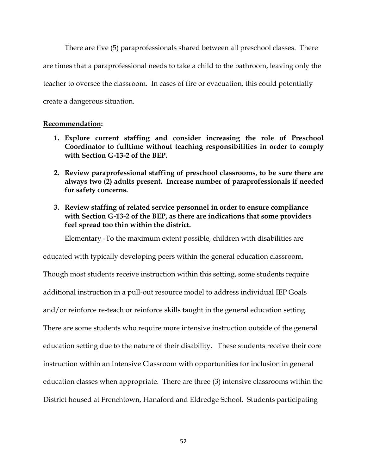There are five (5) paraprofessionals shared between all preschool classes. There are times that a paraprofessional needs to take a child to the bathroom, leaving only the teacher to oversee the classroom. In cases of fire or evacuation, this could potentially create a dangerous situation.

### **Recommendation:**

- **1. Explore current staffing and consider increasing the role of Preschool Coordinator to fulltime without teaching responsibilities in order to comply with Section G-13-2 of the BEP.**
- **2. Review paraprofessional staffing of preschool classrooms, to be sure there are always two (2) adults present. Increase number of paraprofessionals if needed for safety concerns.**
- **3. Review staffing of related service personnel in order to ensure compliance with Section G-13-2 of the BEP, as there are indications that some providers feel spread too thin within the district.**

Elementary -To the maximum extent possible, children with disabilities are

educated with typically developing peers within the general education classroom.

Though most students receive instruction within this setting, some students require additional instruction in a pull-out resource model to address individual IEP Goals and/or reinforce re-teach or reinforce skills taught in the general education setting. There are some students who require more intensive instruction outside of the general education setting due to the nature of their disability. These students receive their core instruction within an Intensive Classroom with opportunities for inclusion in general education classes when appropriate. There are three (3) intensive classrooms within the District housed at Frenchtown, Hanaford and Eldredge School. Students participating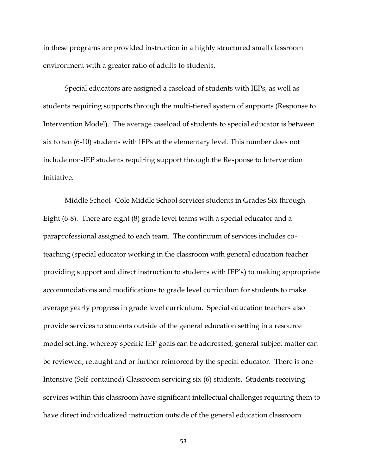in these programs are provided instruction in a highly structured small classroom environment with a greater ratio of adults to students.

Special educators are assigned a caseload of students with IEPs, as well as students requiring supports through the multi-tiered system of supports (Response to Intervention Model). The average caseload of students to special educator is between six to ten (6-10) students with IEPs at the elementary level. This number does not include non-IEP students requiring support through the Response to Intervention Initiative.

Middle School- Cole Middle School services students in Grades Six through Eight (6-8). There are eight (8) grade level teams with a special educator and a paraprofessional assigned to each team. The continuum of services includes coteaching (special educator working in the classroom with general education teacher providing support and direct instruction to students with IEP's) to making appropriate accommodations and modifications to grade level curriculum for students to make average yearly progress in grade level curriculum. Special education teachers also provide services to students outside of the general education setting in a resource model setting, whereby specific IEP goals can be addressed, general subject matter can be reviewed, retaught and or further reinforced by the special educator. There is one Intensive (Self-contained) Classroom servicing six (6) students. Students receiving services within this classroom have significant intellectual challenges requiring them to have direct individualized instruction outside of the general education classroom.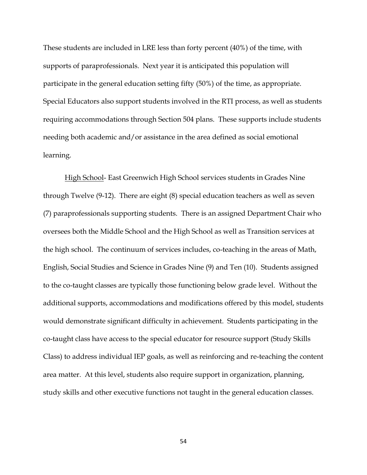These students are included in LRE less than forty percent (40%) of the time, with supports of paraprofessionals. Next year it is anticipated this population will participate in the general education setting fifty (50%) of the time, as appropriate. Special Educators also support students involved in the RTI process, as well as students requiring accommodations through Section 504 plans. These supports include students needing both academic and/or assistance in the area defined as social emotional learning.

High School- East Greenwich High School services students in Grades Nine through Twelve (9-12). There are eight (8) special education teachers as well as seven (7) paraprofessionals supporting students. There is an assigned Department Chair who oversees both the Middle School and the High School as well as Transition services at the high school. The continuum of services includes, co-teaching in the areas of Math, English, Social Studies and Science in Grades Nine (9) and Ten (10). Students assigned to the co-taught classes are typically those functioning below grade level. Without the additional supports, accommodations and modifications offered by this model, students would demonstrate significant difficulty in achievement. Students participating in the co-taught class have access to the special educator for resource support (Study Skills Class) to address individual IEP goals, as well as reinforcing and re-teaching the content area matter. At this level, students also require support in organization, planning, study skills and other executive functions not taught in the general education classes.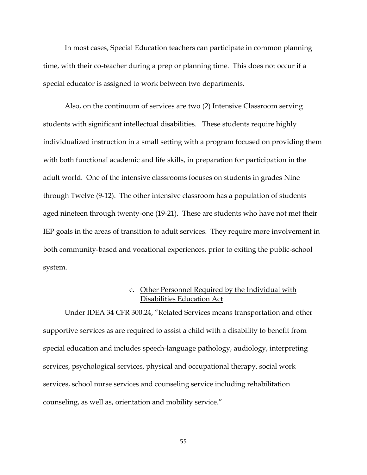In most cases, Special Education teachers can participate in common planning time, with their co-teacher during a prep or planning time. This does not occur if a special educator is assigned to work between two departments.

Also, on the continuum of services are two (2) Intensive Classroom serving students with significant intellectual disabilities. These students require highly individualized instruction in a small setting with a program focused on providing them with both functional academic and life skills, in preparation for participation in the adult world. One of the intensive classrooms focuses on students in grades Nine through Twelve (9-12). The other intensive classroom has a population of students aged nineteen through twenty-one (19-21). These are students who have not met their IEP goals in the areas of transition to adult services. They require more involvement in both community-based and vocational experiences, prior to exiting the public-school system.

# c. Other Personnel Required by the Individual with Disabilities Education Act

Under IDEA 34 CFR 300.24, "Related Services means transportation and other supportive services as are required to assist a child with a disability to benefit from special education and includes speech-language pathology, audiology, interpreting services, psychological services, physical and occupational therapy, social work services, school nurse services and counseling service including rehabilitation counseling, as well as, orientation and mobility service."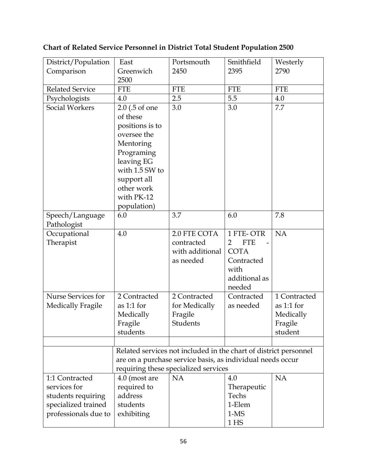| District/Population    | East                                                       | Portsmouth                                                       | Smithfield                   | Westerly     |
|------------------------|------------------------------------------------------------|------------------------------------------------------------------|------------------------------|--------------|
| Comparison             | Greenwich                                                  | 2450                                                             | 2395                         | 2790         |
|                        | 2500                                                       |                                                                  |                              |              |
| <b>Related Service</b> | <b>FTE</b>                                                 | <b>FTE</b>                                                       | <b>FTE</b>                   | <b>FTE</b>   |
| Psychologists          | 4.0                                                        | 2.5                                                              | 5.5                          | 4.0          |
| <b>Social Workers</b>  | 2.0 (.5 of one                                             | 3.0                                                              | 3.0                          | 7.7          |
|                        | of these                                                   |                                                                  |                              |              |
|                        | positions is to                                            |                                                                  |                              |              |
|                        | oversee the                                                |                                                                  |                              |              |
|                        | Mentoring                                                  |                                                                  |                              |              |
|                        | Programing                                                 |                                                                  |                              |              |
|                        | leaving EG                                                 |                                                                  |                              |              |
|                        | with 1.5 SW to                                             |                                                                  |                              |              |
|                        | support all                                                |                                                                  |                              |              |
|                        | other work                                                 |                                                                  |                              |              |
|                        | with PK-12                                                 |                                                                  |                              |              |
|                        | population)                                                |                                                                  |                              |              |
| Speech/Language        | 6.0                                                        | 3.7                                                              | 6.0                          | 7.8          |
| Pathologist            |                                                            |                                                                  |                              |              |
| Occupational           | 4.0                                                        | 2.0 FTE COTA                                                     | 1 FTE-OTR                    | <b>NA</b>    |
| Therapist              |                                                            | contracted                                                       | $\overline{2}$<br><b>FTE</b> |              |
|                        |                                                            | with additional                                                  | <b>COTA</b>                  |              |
|                        |                                                            | as needed                                                        | Contracted                   |              |
|                        |                                                            |                                                                  | with                         |              |
|                        |                                                            |                                                                  | additional as                |              |
|                        |                                                            |                                                                  | needed                       |              |
| Nurse Services for     | 2 Contracted                                               | 2 Contracted                                                     | Contracted                   | 1 Contracted |
| Medically Fragile      | as $1:1$ for                                               | for Medically                                                    | as needed                    | as $1:1$ for |
|                        | Medically                                                  | Fragile                                                          |                              | Medically    |
|                        | Fragile                                                    | Students                                                         |                              | Fragile      |
|                        | students                                                   |                                                                  |                              | student      |
|                        |                                                            |                                                                  |                              |              |
|                        |                                                            | Related services not included in the chart of district personnel |                              |              |
|                        | are on a purchase service basis, as individual needs occur |                                                                  |                              |              |
|                        |                                                            | requiring these specialized services                             |                              |              |
| 1:1 Contracted         | 4.0 (most are                                              | <b>NA</b>                                                        | 4.0                          | <b>NA</b>    |
| services for           | required to                                                |                                                                  | Therapeutic                  |              |
| students requiring     | address                                                    |                                                                  | Techs                        |              |
| specialized trained    | students                                                   |                                                                  | 1-Elem                       |              |
| professionals due to   | exhibiting                                                 |                                                                  | $1-MS$                       |              |
|                        |                                                            |                                                                  | 1 <sub>HS</sub>              |              |

# **Chart of Related Service Personnel in District Total Student Population 2500**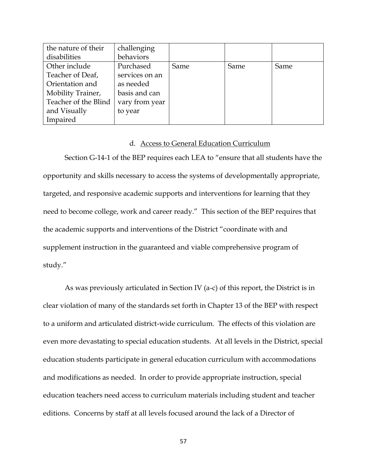| the nature of their  | challenging    |      |      |      |
|----------------------|----------------|------|------|------|
| disabilities         | behaviors      |      |      |      |
| Other include        | Purchased      | Same | Same | Same |
| Teacher of Deaf,     | services on an |      |      |      |
| Orientation and      | as needed      |      |      |      |
| Mobility Trainer,    | basis and can  |      |      |      |
| Teacher of the Blind | vary from year |      |      |      |
| and Visually         | to year        |      |      |      |
| Impaired             |                |      |      |      |

### d. Access to General Education Curriculum

Section G-14-1 of the BEP requires each LEA to "ensure that all students have the opportunity and skills necessary to access the systems of developmentally appropriate, targeted, and responsive academic supports and interventions for learning that they need to become college, work and career ready." This section of the BEP requires that the academic supports and interventions of the District "coordinate with and supplement instruction in the guaranteed and viable comprehensive program of study."

As was previously articulated in Section IV (a-c) of this report, the District is in clear violation of many of the standards set forth in Chapter 13 of the BEP with respect to a uniform and articulated district-wide curriculum. The effects of this violation are even more devastating to special education students. At all levels in the District, special education students participate in general education curriculum with accommodations and modifications as needed. In order to provide appropriate instruction, special education teachers need access to curriculum materials including student and teacher editions. Concerns by staff at all levels focused around the lack of a Director of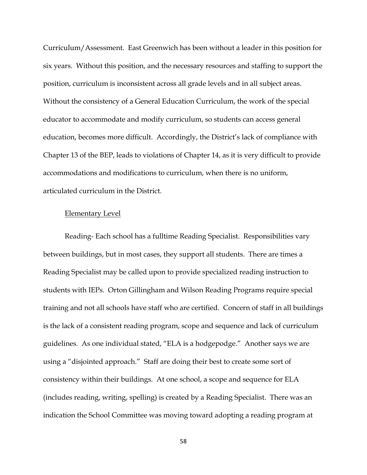Curriculum/Assessment. East Greenwich has been without a leader in this position for six years. Without this position, and the necessary resources and staffing to support the position, curriculum is inconsistent across all grade levels and in all subject areas. Without the consistency of a General Education Curriculum, the work of the special educator to accommodate and modify curriculum, so students can access general education, becomes more difficult. Accordingly, the District's lack of compliance with Chapter 13 of the BEP, leads to violations of Chapter 14, as it is very difficult to provide accommodations and modifications to curriculum, when there is no uniform, articulated curriculum in the District.

### Elementary Level

Reading- Each school has a fulltime Reading Specialist. Responsibilities vary between buildings, but in most cases, they support all students. There are times a Reading Specialist may be called upon to provide specialized reading instruction to students with IEPs. Orton Gillingham and Wilson Reading Programs require special training and not all schools have staff who are certified. Concern of staff in all buildings is the lack of a consistent reading program, scope and sequence and lack of curriculum guidelines. As one individual stated, "ELA is a hodgepodge." Another says we are using a "disjointed approach." Staff are doing their best to create some sort of consistency within their buildings. At one school, a scope and sequence for ELA (includes reading, writing, spelling) is created by a Reading Specialist. There was an indication the School Committee was moving toward adopting a reading program at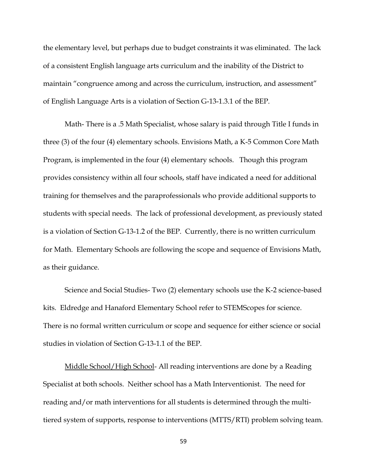the elementary level, but perhaps due to budget constraints it was eliminated. The lack of a consistent English language arts curriculum and the inability of the District to maintain "congruence among and across the curriculum, instruction, and assessment" of English Language Arts is a violation of Section G-13-1.3.1 of the BEP.

Math- There is a .5 Math Specialist, whose salary is paid through Title I funds in three (3) of the four (4) elementary schools. Envisions Math, a K-5 Common Core Math Program, is implemented in the four (4) elementary schools. Though this program provides consistency within all four schools, staff have indicated a need for additional training for themselves and the paraprofessionals who provide additional supports to students with special needs. The lack of professional development, as previously stated is a violation of Section G‐13‐1.2 of the BEP. Currently, there is no written curriculum for Math. Elementary Schools are following the scope and sequence of Envisions Math, as their guidance.

Science and Social Studies- Two (2) elementary schools use the K-2 science-based kits. Eldredge and Hanaford Elementary School refer to STEMScopes for science. There is no formal written curriculum or scope and sequence for either science or social studies in violation of Section G-13-1.1 of the BEP.

Middle School/High School- All reading interventions are done by a Reading Specialist at both schools. Neither school has a Math Interventionist. The need for reading and/or math interventions for all students is determined through the multitiered system of supports, response to interventions (MTTS/RTI) problem solving team.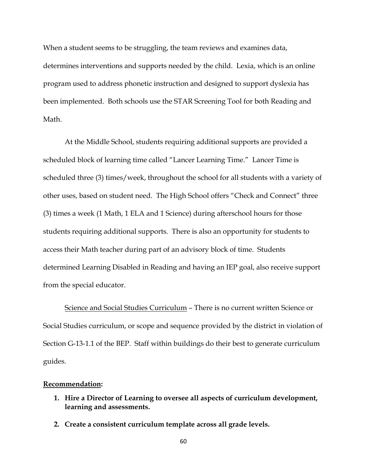When a student seems to be struggling, the team reviews and examines data, determines interventions and supports needed by the child. Lexia, which is an online program used to address phonetic instruction and designed to support dyslexia has been implemented. Both schools use the STAR Screening Tool for both Reading and Math.

At the Middle School, students requiring additional supports are provided a scheduled block of learning time called "Lancer Learning Time." Lancer Time is scheduled three (3) times/week, throughout the school for all students with a variety of other uses, based on student need. The High School offers "Check and Connect" three (3) times a week (1 Math, 1 ELA and 1 Science) during afterschool hours for those students requiring additional supports. There is also an opportunity for students to access their Math teacher during part of an advisory block of time. Students determined Learning Disabled in Reading and having an IEP goal, also receive support from the special educator.

Science and Social Studies Curriculum – There is no current written Science or Social Studies curriculum, or scope and sequence provided by the district in violation of Section G-13-1.1 of the BEP. Staff within buildings do their best to generate curriculum guides.

### **Recommendation:**

- **1. Hire a Director of Learning to oversee all aspects of curriculum development, learning and assessments.**
- **2. Create a consistent curriculum template across all grade levels.**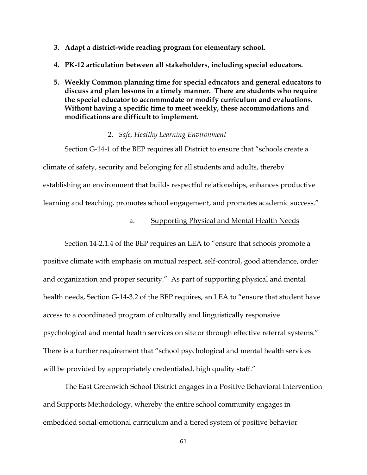- **3. Adapt a district-wide reading program for elementary school.**
- **4. PK-12 articulation between all stakeholders, including special educators.**
- **5. Weekly Common planning time for special educators and general educators to discuss and plan lessons in a timely manner. There are students who require the special educator to accommodate or modify curriculum and evaluations. Without having a specific time to meet weekly, these accommodations and modifications are difficult to implement.**

### 2. *Safe, Healthy Learning Environment*

Section G-14-1 of the BEP requires all District to ensure that "schools create a climate of safety, security and belonging for all students and adults, thereby establishing an environment that builds respectful relationships, enhances productive learning and teaching, promotes school engagement, and promotes academic success."

### a. Supporting Physical and Mental Health Needs

Section 14-2.1.4 of the BEP requires an LEA to "ensure that schools promote a positive climate with emphasis on mutual respect, self-control, good attendance, order and organization and proper security." As part of supporting physical and mental health needs, Section G-14-3.2 of the BEP requires, an LEA to "ensure that student have access to a coordinated program of culturally and linguistically responsive psychological and mental health services on site or through effective referral systems." There is a further requirement that "school psychological and mental health services will be provided by appropriately credentialed, high quality staff."

The East Greenwich School District engages in a Positive Behavioral Intervention and Supports Methodology, whereby the entire school community engages in embedded social-emotional curriculum and a tiered system of positive behavior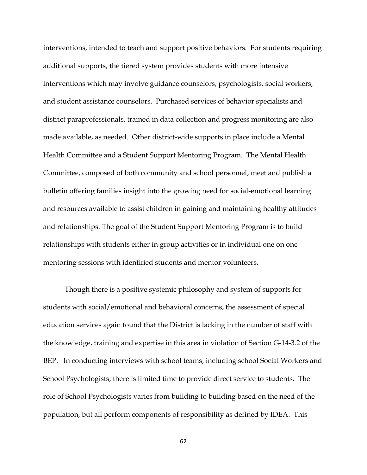interventions, intended to teach and support positive behaviors. For students requiring additional supports, the tiered system provides students with more intensive interventions which may involve guidance counselors, psychologists, social workers, and student assistance counselors. Purchased services of behavior specialists and district paraprofessionals, trained in data collection and progress monitoring are also made available, as needed. Other district-wide supports in place include a Mental Health Committee and a Student Support Mentoring Program. The Mental Health Committee, composed of both community and school personnel, meet and publish a bulletin offering families insight into the growing need for social-emotional learning and resources available to assist children in gaining and maintaining healthy attitudes and relationships. The goal of the Student Support Mentoring Program is to build relationships with students either in group activities or in individual one on one mentoring sessions with identified students and mentor volunteers.

Though there is a positive systemic philosophy and system of supports for students with social/emotional and behavioral concerns, the assessment of special education services again found that the District is lacking in the number of staff with the knowledge, training and expertise in this area in violation of Section G-14-3.2 of the BEP. In conducting interviews with school teams, including school Social Workers and School Psychologists, there is limited time to provide direct service to students. The role of School Psychologists varies from building to building based on the need of the population, but all perform components of responsibility as defined by IDEA. This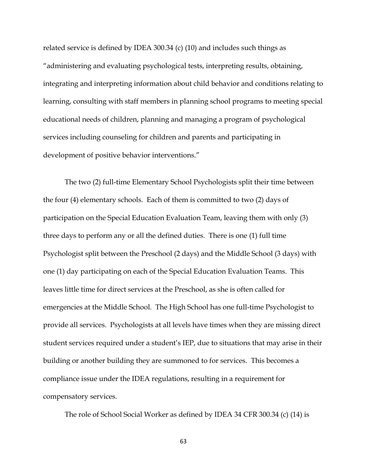related service is defined by IDEA 300.34 (c) (10) and includes such things as "administering and evaluating psychological tests, interpreting results, obtaining, integrating and interpreting information about child behavior and conditions relating to learning, consulting with staff members in planning school programs to meeting special educational needs of children, planning and managing a program of psychological services including counseling for children and parents and participating in development of positive behavior interventions."

The two (2) full-time Elementary School Psychologists split their time between the four (4) elementary schools. Each of them is committed to two (2) days of participation on the Special Education Evaluation Team, leaving them with only (3) three days to perform any or all the defined duties. There is one (1) full time Psychologist split between the Preschool (2 days) and the Middle School (3 days) with one (1) day participating on each of the Special Education Evaluation Teams. This leaves little time for direct services at the Preschool, as she is often called for emergencies at the Middle School. The High School has one full-time Psychologist to provide all services. Psychologists at all levels have times when they are missing direct student services required under a student's IEP, due to situations that may arise in their building or another building they are summoned to for services. This becomes a compliance issue under the IDEA regulations, resulting in a requirement for compensatory services.

The role of School Social Worker as defined by IDEA 34 CFR 300.34 (c) (14) is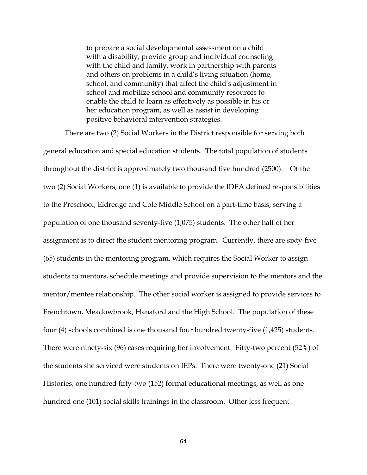to prepare a social developmental assessment on a child with a disability, provide group and individual counseling with the child and family, work in partnership with parents and others on problems in a child's living situation (home, school, and community) that affect the child's adjustment in school and mobilize school and community resources to enable the child to learn as effectively as possible in his or her education program, as well as assist in developing positive behavioral intervention strategies.

There are two (2) Social Workers in the District responsible for serving both general education and special education students. The total population of students throughout the district is approximately two thousand five hundred (2500). Of the two (2) Social Workers, one (1) is available to provide the IDEA defined responsibilities to the Preschool, Eldredge and Cole Middle School on a part-time basis, serving a population of one thousand seventy-five (1,075) students. The other half of her assignment is to direct the student mentoring program. Currently, there are sixty-five (65) students in the mentoring program, which requires the Social Worker to assign students to mentors, schedule meetings and provide supervision to the mentors and the mentor/mentee relationship. The other social worker is assigned to provide services to Frenchtown, Meadowbrook, Hanaford and the High School. The population of these four (4) schools combined is one thousand four hundred twenty-five (1,425) students. There were ninety-six (96) cases requiring her involvement. Fifty-two percent (52%) of the students she serviced were students on IEPs. There were twenty-one (21) Social Histories, one hundred fifty-two (152) formal educational meetings, as well as one hundred one (101) social skills trainings in the classroom. Other less frequent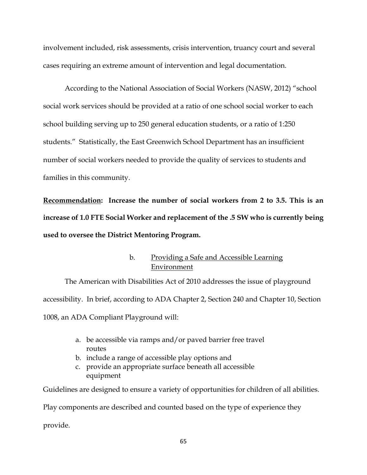involvement included, risk assessments, crisis intervention, truancy court and several cases requiring an extreme amount of intervention and legal documentation.

According to the National Association of Social Workers (NASW, 2012) "school social work services should be provided at a ratio of one school social worker to each school building serving up to 250 general education students, or a ratio of 1:250 students." Statistically, the East Greenwich School Department has an insufficient number of social workers needed to provide the quality of services to students and families in this community.

**Recommendation: Increase the number of social workers from 2 to 3.5. This is an increase of 1.0 FTE Social Worker and replacement of the .5 SW who is currently being used to oversee the District Mentoring Program.** 

# b. Providing a Safe and Accessible Learning Environment

The American with Disabilities Act of 2010 addresses the issue of playground accessibility. In brief, according to ADA Chapter 2, Section 240 and Chapter 10, Section 1008, an ADA Compliant Playground will:

- a. be accessible via ramps and/or paved barrier free travel routes
- b. include a range of accessible play options and
- c. provide an appropriate surface beneath all accessible equipment

Guidelines are designed to ensure a variety of opportunities for children of all abilities.

Play components are described and counted based on the type of experience they

provide.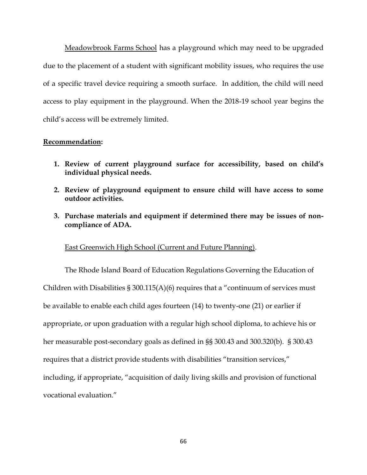Meadowbrook Farms School has a playground which may need to be upgraded due to the placement of a student with significant mobility issues, who requires the use of a specific travel device requiring a smooth surface. In addition, the child will need access to play equipment in the playground. When the 2018-19 school year begins the child's access will be extremely limited.

### **Recommendation:**

- **1. Review of current playground surface for accessibility, based on child's individual physical needs.**
- **2. Review of playground equipment to ensure child will have access to some outdoor activities.**
- **3. Purchase materials and equipment if determined there may be issues of noncompliance of ADA.**

### East Greenwich High School (Current and Future Planning).

The Rhode Island Board of Education Regulations Governing the Education of Children with Disabilities § 300.115(A)(6) requires that a "continuum of services must be available to enable each child ages fourteen (14) to twenty-one (21) or earlier if appropriate, or upon graduation with a regular high school diploma, to achieve his or her measurable post-secondary goals as defined in §§ 300.43 and 300.320(b). § 300.43 requires that a district provide students with disabilities "transition services," including, if appropriate, "acquisition of daily living skills and provision of functional vocational evaluation."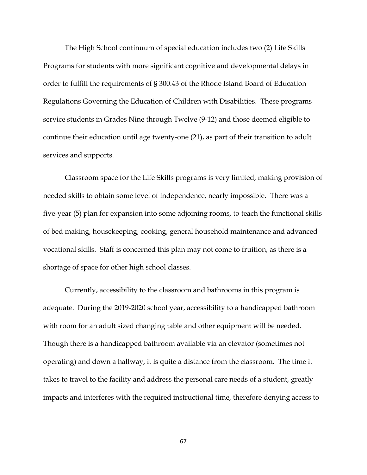The High School continuum of special education includes two (2) Life Skills Programs for students with more significant cognitive and developmental delays in order to fulfill the requirements of § 300.43 of the Rhode Island Board of Education Regulations Governing the Education of Children with Disabilities. These programs service students in Grades Nine through Twelve (9-12) and those deemed eligible to continue their education until age twenty-one (21), as part of their transition to adult services and supports.

Classroom space for the Life Skills programs is very limited, making provision of needed skills to obtain some level of independence, nearly impossible. There was a five-year (5) plan for expansion into some adjoining rooms, to teach the functional skills of bed making, housekeeping, cooking, general household maintenance and advanced vocational skills. Staff is concerned this plan may not come to fruition, as there is a shortage of space for other high school classes.

Currently, accessibility to the classroom and bathrooms in this program is adequate. During the 2019-2020 school year, accessibility to a handicapped bathroom with room for an adult sized changing table and other equipment will be needed. Though there is a handicapped bathroom available via an elevator (sometimes not operating) and down a hallway, it is quite a distance from the classroom. The time it takes to travel to the facility and address the personal care needs of a student, greatly impacts and interferes with the required instructional time, therefore denying access to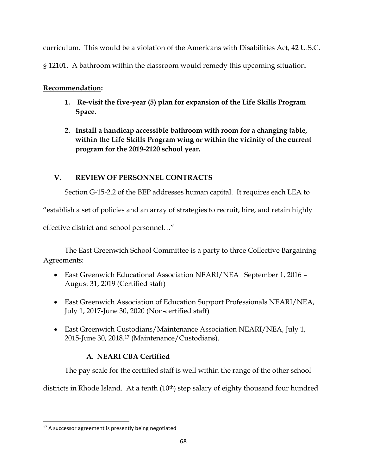curriculum. This would be a violation of the Americans with Disabilities Act, 42 U.S.C.

§ 12101. A bathroom within the classroom would remedy this upcoming situation.

# **Recommendation:**

- **1. Re-visit the five-year (5) plan for expansion of the Life Skills Program Space.**
- **2. Install a handicap accessible bathroom with room for a changing table, within the Life Skills Program wing or within the vicinity of the current program for the 2019-2120 school year.**

# **V. REVIEW OF PERSONNEL CONTRACTS**

Section G-15-2.2 of the BEP addresses human capital. It requires each LEA to

"establish a set of policies and an array of strategies to recruit, hire, and retain highly

effective district and school personnel…"

The East Greenwich School Committee is a party to three Collective Bargaining Agreements:

- East Greenwich Educational Association NEARI/NEA September 1, 2016 August 31, 2019 (Certified staff)
- East Greenwich Association of Education Support Professionals NEARI/NEA, July 1, 2017-June 30, 2020 (Non-certified staff)
- East Greenwich Custodians/Maintenance Association NEARI/NEA, July 1, 2015-June 30, 2018.<sup>17</sup> (Maintenance/Custodians).

# **A. NEARI CBA Certified**

The pay scale for the certified staff is well within the range of the other school

districts in Rhode Island. At a tenth (10<sup>th</sup>) step salary of eighty thousand four hundred

 $\overline{\phantom{a}}$ 

<sup>&</sup>lt;sup>17</sup> A successor agreement is presently being negotiated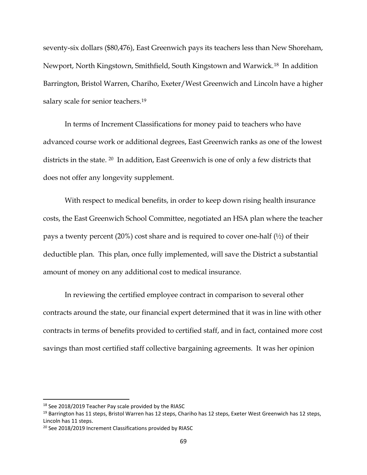seventy-six dollars (\$80,476), East Greenwich pays its teachers less than New Shoreham, Newport, North Kingstown, Smithfield, South Kingstown and Warwick.18 In addition Barrington, Bristol Warren, Chariho, Exeter/West Greenwich and Lincoln have a higher salary scale for senior teachers.<sup>19</sup>

In terms of Increment Classifications for money paid to teachers who have advanced course work or additional degrees, East Greenwich ranks as one of the lowest districts in the state. <sup>20</sup> In addition, East Greenwich is one of only a few districts that does not offer any longevity supplement.

With respect to medical benefits, in order to keep down rising health insurance costs, the East Greenwich School Committee, negotiated an HSA plan where the teacher pays a twenty percent (20%) cost share and is required to cover one-half (½) of their deductible plan. This plan, once fully implemented, will save the District a substantial amount of money on any additional cost to medical insurance.

In reviewing the certified employee contract in comparison to several other contracts around the state, our financial expert determined that it was in line with other contracts in terms of benefits provided to certified staff, and in fact, contained more cost savings than most certified staff collective bargaining agreements. It was her opinion

l

<sup>&</sup>lt;sup>18</sup> See 2018/2019 Teacher Pay scale provided by the RIASC

<sup>&</sup>lt;sup>19</sup> Barrington has 11 steps, Bristol Warren has 12 steps, Chariho has 12 steps, Exeter West Greenwich has 12 steps, Lincoln has 11 steps.

<sup>&</sup>lt;sup>20</sup> See 2018/2019 Increment Classifications provided by RIASC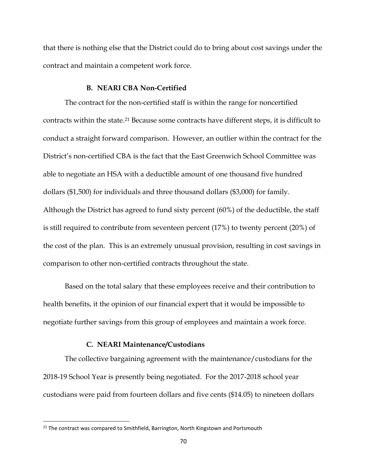that there is nothing else that the District could do to bring about cost savings under the contract and maintain a competent work force.

### **B. NEARI CBA Non-Certified**

The contract for the non-certified staff is within the range for noncertified contracts within the state. <sup>21</sup> Because some contracts have different steps, it is difficult to conduct a straight forward comparison. However, an outlier within the contract for the District's non-certified CBA is the fact that the East Greenwich School Committee was able to negotiate an HSA with a deductible amount of one thousand five hundred dollars (\$1,500) for individuals and three thousand dollars (\$3,000) for family. Although the District has agreed to fund sixty percent (60%) of the deductible, the staff is still required to contribute from seventeen percent (17%) to twenty percent (20%) of the cost of the plan. This is an extremely unusual provision, resulting in cost savings in comparison to other non-certified contracts throughout the state.

Based on the total salary that these employees receive and their contribution to health benefits, it the opinion of our financial expert that it would be impossible to negotiate further savings from this group of employees and maintain a work force.

## **C. NEARI Maintenance/Custodians**

The collective bargaining agreement with the maintenance/custodians for the 2018-19 School Year is presently being negotiated. For the 2017-2018 school year custodians were paid from fourteen dollars and five cents (\$14.05) to nineteen dollars

 $\overline{\phantom{a}}$ 

<sup>&</sup>lt;sup>21</sup> The contract was compared to Smithfield, Barrington, North Kingstown and Portsmouth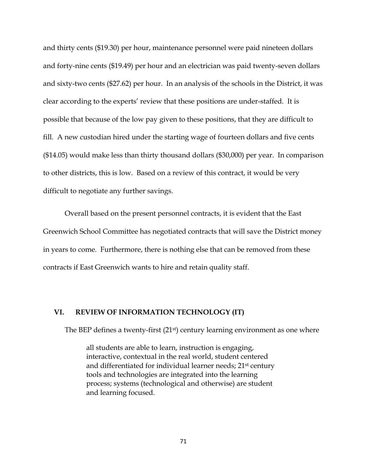and thirty cents (\$19.30) per hour, maintenance personnel were paid nineteen dollars and forty-nine cents (\$19.49) per hour and an electrician was paid twenty-seven dollars and sixty-two cents (\$27.62) per hour. In an analysis of the schools in the District, it was clear according to the experts' review that these positions are under-staffed. It is possible that because of the low pay given to these positions, that they are difficult to fill. A new custodian hired under the starting wage of fourteen dollars and five cents (\$14.05) would make less than thirty thousand dollars (\$30,000) per year. In comparison to other districts, this is low. Based on a review of this contract, it would be very difficult to negotiate any further savings.

Overall based on the present personnel contracts, it is evident that the East Greenwich School Committee has negotiated contracts that will save the District money in years to come. Furthermore, there is nothing else that can be removed from these contracts if East Greenwich wants to hire and retain quality staff.

### **VI. REVIEW OF INFORMATION TECHNOLOGY (IT)**

The BEP defines a twenty-first (21<sup>st</sup>) century learning environment as one where

all students are able to learn, instruction is engaging, interactive, contextual in the real world, student centered and differentiated for individual learner needs; 21<sup>st</sup> century tools and technologies are integrated into the learning process; systems (technological and otherwise) are student and learning focused.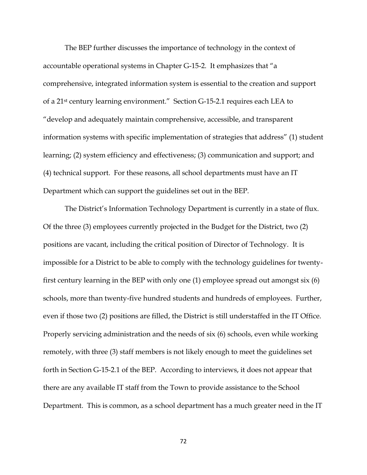The BEP further discusses the importance of technology in the context of accountable operational systems in Chapter G-15-2. It emphasizes that "a comprehensive, integrated information system is essential to the creation and support of a 21st century learning environment." Section G-15-2.1 requires each LEA to "develop and adequately maintain comprehensive, accessible, and transparent information systems with specific implementation of strategies that address" (1) student learning; (2) system efficiency and effectiveness; (3) communication and support; and (4) technical support. For these reasons, all school departments must have an IT Department which can support the guidelines set out in the BEP.

The District's Information Technology Department is currently in a state of flux. Of the three (3) employees currently projected in the Budget for the District, two (2) positions are vacant, including the critical position of Director of Technology. It is impossible for a District to be able to comply with the technology guidelines for twentyfirst century learning in the BEP with only one (1) employee spread out amongst six (6) schools, more than twenty-five hundred students and hundreds of employees. Further, even if those two (2) positions are filled, the District is still understaffed in the IT Office. Properly servicing administration and the needs of six (6) schools, even while working remotely, with three (3) staff members is not likely enough to meet the guidelines set forth in Section G-15-2.1 of the BEP. According to interviews, it does not appear that there are any available IT staff from the Town to provide assistance to the School Department. This is common, as a school department has a much greater need in the IT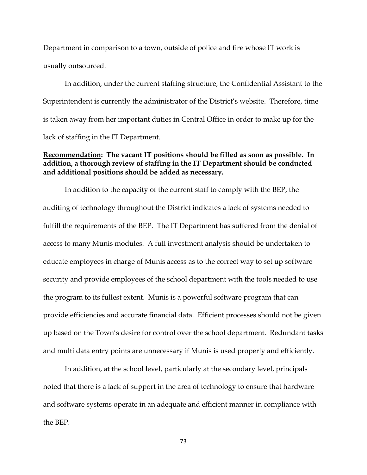Department in comparison to a town, outside of police and fire whose IT work is usually outsourced.

In addition, under the current staffing structure, the Confidential Assistant to the Superintendent is currently the administrator of the District's website. Therefore, time is taken away from her important duties in Central Office in order to make up for the lack of staffing in the IT Department.

## **Recommendation: The vacant IT positions should be filled as soon as possible. In addition, a thorough review of staffing in the IT Department should be conducted and additional positions should be added as necessary.**

In addition to the capacity of the current staff to comply with the BEP, the auditing of technology throughout the District indicates a lack of systems needed to fulfill the requirements of the BEP. The IT Department has suffered from the denial of access to many Munis modules. A full investment analysis should be undertaken to educate employees in charge of Munis access as to the correct way to set up software security and provide employees of the school department with the tools needed to use the program to its fullest extent. Munis is a powerful software program that can provide efficiencies and accurate financial data. Efficient processes should not be given up based on the Town's desire for control over the school department. Redundant tasks and multi data entry points are unnecessary if Munis is used properly and efficiently.

In addition, at the school level, particularly at the secondary level, principals noted that there is a lack of support in the area of technology to ensure that hardware and software systems operate in an adequate and efficient manner in compliance with the BEP.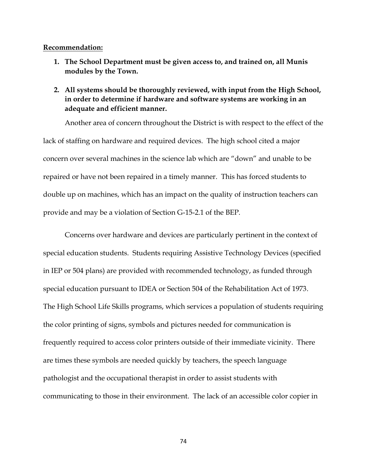#### **Recommendation:**

- **1. The School Department must be given access to, and trained on, all Munis modules by the Town.**
- **2. All systems should be thoroughly reviewed, with input from the High School, in order to determine if hardware and software systems are working in an adequate and efficient manner.**

Another area of concern throughout the District is with respect to the effect of the lack of staffing on hardware and required devices. The high school cited a major concern over several machines in the science lab which are "down" and unable to be repaired or have not been repaired in a timely manner. This has forced students to double up on machines, which has an impact on the quality of instruction teachers can provide and may be a violation of Section G-15-2.1 of the BEP.

Concerns over hardware and devices are particularly pertinent in the context of special education students. Students requiring Assistive Technology Devices (specified in IEP or 504 plans) are provided with recommended technology, as funded through special education pursuant to IDEA or Section 504 of the Rehabilitation Act of 1973. The High School Life Skills programs, which services a population of students requiring the color printing of signs, symbols and pictures needed for communication is frequently required to access color printers outside of their immediate vicinity. There are times these symbols are needed quickly by teachers, the speech language pathologist and the occupational therapist in order to assist students with communicating to those in their environment. The lack of an accessible color copier in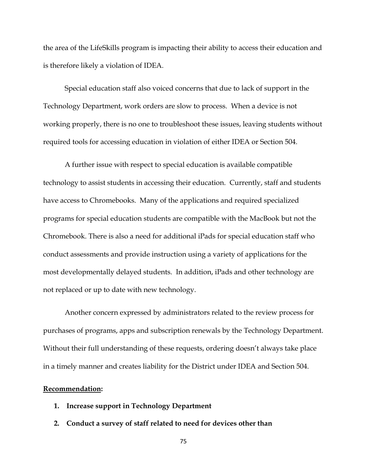the area of the LifeSkills program is impacting their ability to access their education and is therefore likely a violation of IDEA.

Special education staff also voiced concerns that due to lack of support in the Technology Department, work orders are slow to process. When a device is not working properly, there is no one to troubleshoot these issues, leaving students without required tools for accessing education in violation of either IDEA or Section 504.

A further issue with respect to special education is available compatible technology to assist students in accessing their education. Currently, staff and students have access to Chromebooks. Many of the applications and required specialized programs for special education students are compatible with the MacBook but not the Chromebook. There is also a need for additional iPads for special education staff who conduct assessments and provide instruction using a variety of applications for the most developmentally delayed students. In addition, iPads and other technology are not replaced or up to date with new technology.

Another concern expressed by administrators related to the review process for purchases of programs, apps and subscription renewals by the Technology Department. Without their full understanding of these requests, ordering doesn't always take place in a timely manner and creates liability for the District under IDEA and Section 504.

### **Recommendation:**

- **1. Increase support in Technology Department**
- **2. Conduct a survey of staff related to need for devices other than**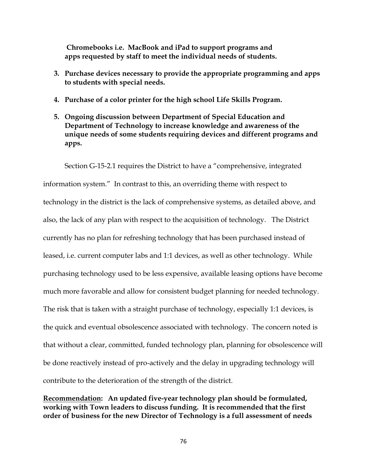**Chromebooks i.e. MacBook and iPad to support programs and apps requested by staff to meet the individual needs of students.**

- **3. Purchase devices necessary to provide the appropriate programming and apps to students with special needs.**
- **4. Purchase of a color printer for the high school Life Skills Program.**
- **5. Ongoing discussion between Department of Special Education and Department of Technology to increase knowledge and awareness of the unique needs of some students requiring devices and different programs and apps.**

Section G-15-2.1 requires the District to have a "comprehensive, integrated information system." In contrast to this, an overriding theme with respect to technology in the district is the lack of comprehensive systems, as detailed above, and also, the lack of any plan with respect to the acquisition of technology. The District currently has no plan for refreshing technology that has been purchased instead of leased, i.e. current computer labs and 1:1 devices, as well as other technology. While purchasing technology used to be less expensive, available leasing options have become much more favorable and allow for consistent budget planning for needed technology. The risk that is taken with a straight purchase of technology, especially 1:1 devices, is the quick and eventual obsolescence associated with technology. The concern noted is that without a clear, committed, funded technology plan, planning for obsolescence will be done reactively instead of pro-actively and the delay in upgrading technology will contribute to the deterioration of the strength of the district.

**Recommendation: An updated five-year technology plan should be formulated, working with Town leaders to discuss funding. It is recommended that the first order of business for the new Director of Technology is a full assessment of needs**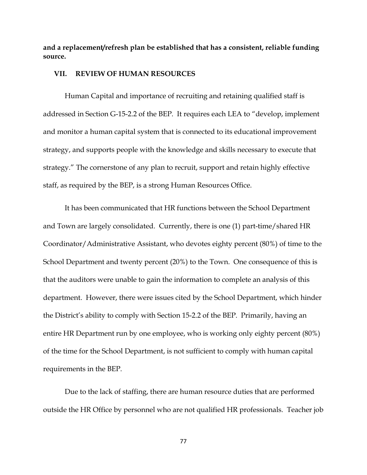**and a replacement/refresh plan be established that has a consistent, reliable funding source.**

### **VII. REVIEW OF HUMAN RESOURCES**

Human Capital and importance of recruiting and retaining qualified staff is addressed in Section G-15-2.2 of the BEP. It requires each LEA to "develop, implement and monitor a human capital system that is connected to its educational improvement strategy, and supports people with the knowledge and skills necessary to execute that strategy." The cornerstone of any plan to recruit, support and retain highly effective staff, as required by the BEP, is a strong Human Resources Office.

It has been communicated that HR functions between the School Department and Town are largely consolidated. Currently, there is one (1) part-time/shared HR Coordinator/Administrative Assistant, who devotes eighty percent (80%) of time to the School Department and twenty percent (20%) to the Town. One consequence of this is that the auditors were unable to gain the information to complete an analysis of this department. However, there were issues cited by the School Department, which hinder the District's ability to comply with Section 15-2.2 of the BEP. Primarily, having an entire HR Department run by one employee, who is working only eighty percent (80%) of the time for the School Department, is not sufficient to comply with human capital requirements in the BEP.

Due to the lack of staffing, there are human resource duties that are performed outside the HR Office by personnel who are not qualified HR professionals. Teacher job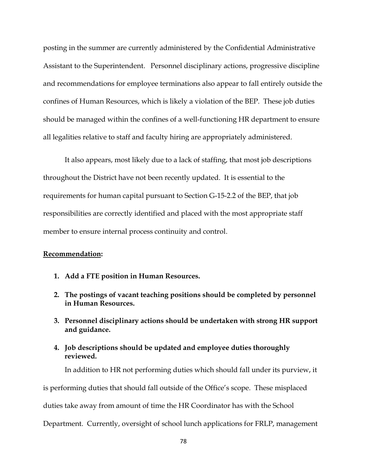posting in the summer are currently administered by the Confidential Administrative Assistant to the Superintendent. Personnel disciplinary actions, progressive discipline and recommendations for employee terminations also appear to fall entirely outside the confines of Human Resources, which is likely a violation of the BEP. These job duties should be managed within the confines of a well-functioning HR department to ensure all legalities relative to staff and faculty hiring are appropriately administered.

It also appears, most likely due to a lack of staffing, that most job descriptions throughout the District have not been recently updated. It is essential to the requirements for human capital pursuant to Section G-15-2.2 of the BEP, that job responsibilities are correctly identified and placed with the most appropriate staff member to ensure internal process continuity and control.

## **Recommendation:**

- **1. Add a FTE position in Human Resources.**
- **2. The postings of vacant teaching positions should be completed by personnel in Human Resources.**
- **3. Personnel disciplinary actions should be undertaken with strong HR support and guidance.**
- **4. Job descriptions should be updated and employee duties thoroughly reviewed.**

In addition to HR not performing duties which should fall under its purview, it

is performing duties that should fall outside of the Office's scope. These misplaced

duties take away from amount of time the HR Coordinator has with the School

Department. Currently, oversight of school lunch applications for FRLP, management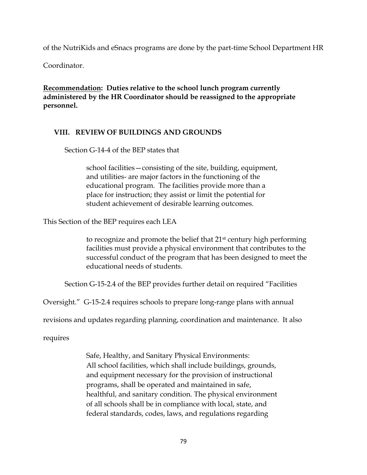of the NutriKids and eSnacs programs are done by the part-time School Department HR

Coordinator.

**Recommendation: Duties relative to the school lunch program currently administered by the HR Coordinator should be reassigned to the appropriate personnel.** 

## **VIII. REVIEW OF BUILDINGS AND GROUNDS**

Section G-14-4 of the BEP states that

school facilities—consisting of the site, building, equipment, and utilities- are major factors in the functioning of the educational program. The facilities provide more than a place for instruction; they assist or limit the potential for student achievement of desirable learning outcomes.

This Section of the BEP requires each LEA

to recognize and promote the belief that 21st century high performing facilities must provide a physical environment that contributes to the successful conduct of the program that has been designed to meet the educational needs of students.

Section G-15-2.4 of the BEP provides further detail on required "Facilities

Oversight." G-15-2.4 requires schools to prepare long-range plans with annual

revisions and updates regarding planning, coordination and maintenance. It also

requires

Safe, Healthy, and Sanitary Physical Environments: All school facilities, which shall include buildings, grounds, and equipment necessary for the provision of instructional programs, shall be operated and maintained in safe, healthful, and sanitary condition. The physical environment of all schools shall be in compliance with local, state, and federal standards, codes, laws, and regulations regarding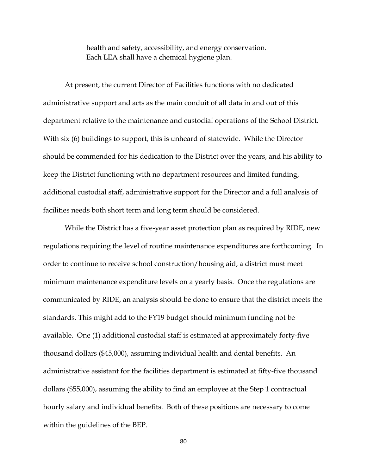health and safety, accessibility, and energy conservation. Each LEA shall have a chemical hygiene plan.

At present, the current Director of Facilities functions with no dedicated administrative support and acts as the main conduit of all data in and out of this department relative to the maintenance and custodial operations of the School District. With six (6) buildings to support, this is unheard of statewide. While the Director should be commended for his dedication to the District over the years, and his ability to keep the District functioning with no department resources and limited funding, additional custodial staff, administrative support for the Director and a full analysis of facilities needs both short term and long term should be considered.

While the District has a five-year asset protection plan as required by RIDE, new regulations requiring the level of routine maintenance expenditures are forthcoming. In order to continue to receive school construction/housing aid, a district must meet minimum maintenance expenditure levels on a yearly basis. Once the regulations are communicated by RIDE, an analysis should be done to ensure that the district meets the standards. This might add to the FY19 budget should minimum funding not be available. One (1) additional custodial staff is estimated at approximately forty-five thousand dollars (\$45,000), assuming individual health and dental benefits. An administrative assistant for the facilities department is estimated at fifty-five thousand dollars (\$55,000), assuming the ability to find an employee at the Step 1 contractual hourly salary and individual benefits. Both of these positions are necessary to come within the guidelines of the BEP.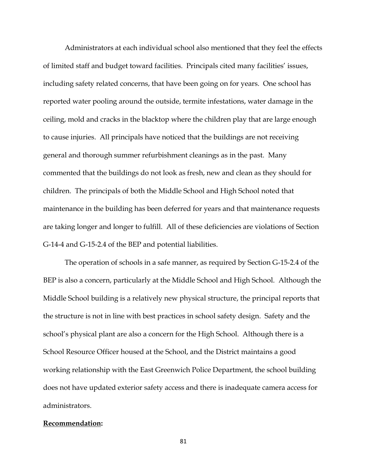Administrators at each individual school also mentioned that they feel the effects of limited staff and budget toward facilities. Principals cited many facilities' issues, including safety related concerns, that have been going on for years. One school has reported water pooling around the outside, termite infestations, water damage in the ceiling, mold and cracks in the blacktop where the children play that are large enough to cause injuries. All principals have noticed that the buildings are not receiving general and thorough summer refurbishment cleanings as in the past. Many commented that the buildings do not look as fresh, new and clean as they should for children. The principals of both the Middle School and High School noted that maintenance in the building has been deferred for years and that maintenance requests are taking longer and longer to fulfill. All of these deficiencies are violations of Section G-14-4 and G-15-2.4 of the BEP and potential liabilities.

The operation of schools in a safe manner, as required by Section G-15-2.4 of the BEP is also a concern, particularly at the Middle School and High School. Although the Middle School building is a relatively new physical structure, the principal reports that the structure is not in line with best practices in school safety design. Safety and the school's physical plant are also a concern for the High School. Although there is a School Resource Officer housed at the School, and the District maintains a good working relationship with the East Greenwich Police Department, the school building does not have updated exterior safety access and there is inadequate camera access for administrators.

#### **Recommendation:**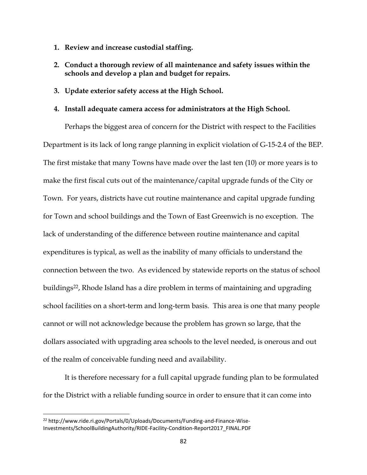- **1. Review and increase custodial staffing.**
- **2. Conduct a thorough review of all maintenance and safety issues within the schools and develop a plan and budget for repairs.**
- **3. Update exterior safety access at the High School.**

## **4. Install adequate camera access for administrators at the High School.**

Perhaps the biggest area of concern for the District with respect to the Facilities Department is its lack of long range planning in explicit violation of G-15-2.4 of the BEP. The first mistake that many Towns have made over the last ten (10) or more years is to make the first fiscal cuts out of the maintenance/capital upgrade funds of the City or Town. For years, districts have cut routine maintenance and capital upgrade funding for Town and school buildings and the Town of East Greenwich is no exception. The lack of understanding of the difference between routine maintenance and capital expenditures is typical, as well as the inability of many officials to understand the connection between the two. As evidenced by statewide reports on the status of school buildings22, Rhode Island has a dire problem in terms of maintaining and upgrading school facilities on a short-term and long-term basis. This area is one that many people cannot or will not acknowledge because the problem has grown so large, that the dollars associated with upgrading area schools to the level needed, is onerous and out of the realm of conceivable funding need and availability.

It is therefore necessary for a full capital upgrade funding plan to be formulated for the District with a reliable funding source in order to ensure that it can come into

 $\overline{\phantom{a}}$ 

<sup>&</sup>lt;sup>22</sup> http://www.ride.ri.gov/Portals/0/Uploads/Documents/Funding-and-Finance-Wise-Investments/SchoolBuildingAuthority/RIDE-Facility-Condition-Report2017\_FINAL.PDF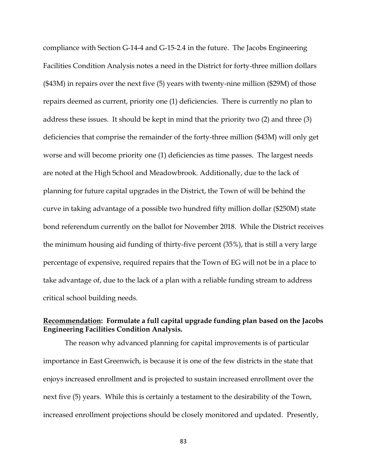compliance with Section G-14-4 and G-15-2.4 in the future. The Jacobs Engineering Facilities Condition Analysis notes a need in the District for forty-three million dollars (\$43M) in repairs over the next five (5) years with twenty-nine million (\$29M) of those repairs deemed as current, priority one (1) deficiencies. There is currently no plan to address these issues. It should be kept in mind that the priority two (2) and three (3) deficiencies that comprise the remainder of the forty-three million (\$43M) will only get worse and will become priority one (1) deficiencies as time passes. The largest needs are noted at the High School and Meadowbrook. Additionally, due to the lack of planning for future capital upgrades in the District, the Town of will be behind the curve in taking advantage of a possible two hundred fifty million dollar (\$250M) state bond referendum currently on the ballot for November 2018. While the District receives the minimum housing aid funding of thirty-five percent (35%), that is still a very large percentage of expensive, required repairs that the Town of EG will not be in a place to take advantage of, due to the lack of a plan with a reliable funding stream to address critical school building needs.

## **Recommendation: Formulate a full capital upgrade funding plan based on the Jacobs Engineering Facilities Condition Analysis.**

The reason why advanced planning for capital improvements is of particular importance in East Greenwich, is because it is one of the few districts in the state that enjoys increased enrollment and is projected to sustain increased enrollment over the next five (5) years. While this is certainly a testament to the desirability of the Town, increased enrollment projections should be closely monitored and updated. Presently,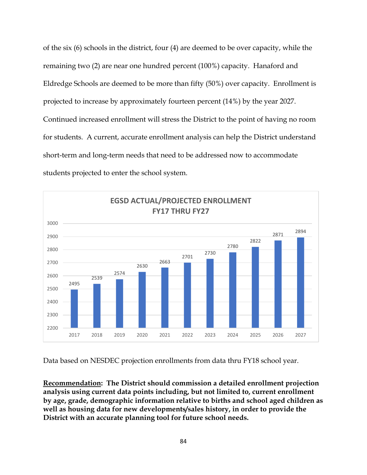of the six (6) schools in the district, four (4) are deemed to be over capacity, while the remaining two (2) are near one hundred percent (100%) capacity. Hanaford and Eldredge Schools are deemed to be more than fifty (50%) over capacity. Enrollment is projected to increase by approximately fourteen percent (14%) by the year 2027. Continued increased enrollment will stress the District to the point of having no room for students. A current, accurate enrollment analysis can help the District understand short-term and long-term needs that need to be addressed now to accommodate students projected to enter the school system.



Data based on NESDEC projection enrollments from data thru FY18 school year.

**Recommendation: The District should commission a detailed enrollment projection analysis using current data points including, but not limited to, current enrollment by age, grade, demographic information relative to births and school aged children as well as housing data for new developments/sales history, in order to provide the District with an accurate planning tool for future school needs.**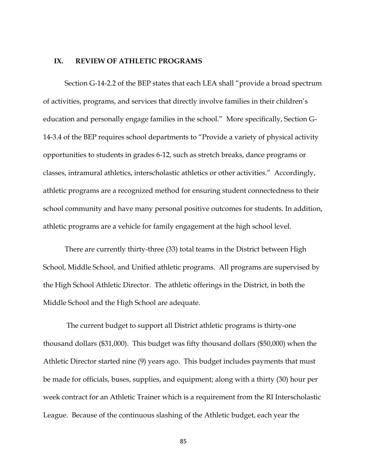#### **IX. REVIEW OF ATHLETIC PROGRAMS**

Section G-14-2.2 of the BEP states that each LEA shall "provide a broad spectrum of activities, programs, and services that directly involve families in their children's education and personally engage families in the school." More specifically, Section G-14-3.4 of the BEP requires school departments to "Provide a variety of physical activity opportunities to students in grades 6-12, such as stretch breaks, dance programs or classes, intramural athletics, interscholastic athletics or other activities." Accordingly, athletic programs are a recognized method for ensuring student connectedness to their school community and have many personal positive outcomes for students. In addition, athletic programs are a vehicle for family engagement at the high school level.

There are currently thirty-three (33) total teams in the District between High School, Middle School, and Unified athletic programs. All programs are supervised by the High School Athletic Director. The athletic offerings in the District, in both the Middle School and the High School are adequate.

The current budget to support all District athletic programs is thirty-one thousand dollars (\$31,000). This budget was fifty thousand dollars (\$50,000) when the Athletic Director started nine (9) years ago. This budget includes payments that must be made for officials, buses, supplies, and equipment; along with a thirty (30) hour per week contract for an Athletic Trainer which is a requirement from the RI Interscholastic League. Because of the continuous slashing of the Athletic budget, each year the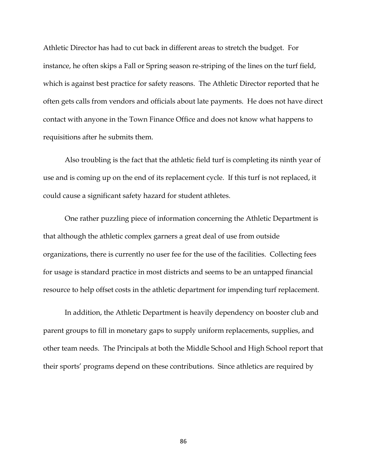Athletic Director has had to cut back in different areas to stretch the budget. For instance, he often skips a Fall or Spring season re-striping of the lines on the turf field, which is against best practice for safety reasons. The Athletic Director reported that he often gets calls from vendors and officials about late payments. He does not have direct contact with anyone in the Town Finance Office and does not know what happens to requisitions after he submits them.

Also troubling is the fact that the athletic field turf is completing its ninth year of use and is coming up on the end of its replacement cycle. If this turf is not replaced, it could cause a significant safety hazard for student athletes.

One rather puzzling piece of information concerning the Athletic Department is that although the athletic complex garners a great deal of use from outside organizations, there is currently no user fee for the use of the facilities. Collecting fees for usage is standard practice in most districts and seems to be an untapped financial resource to help offset costs in the athletic department for impending turf replacement.

In addition, the Athletic Department is heavily dependency on booster club and parent groups to fill in monetary gaps to supply uniform replacements, supplies, and other team needs. The Principals at both the Middle School and High School report that their sports' programs depend on these contributions. Since athletics are required by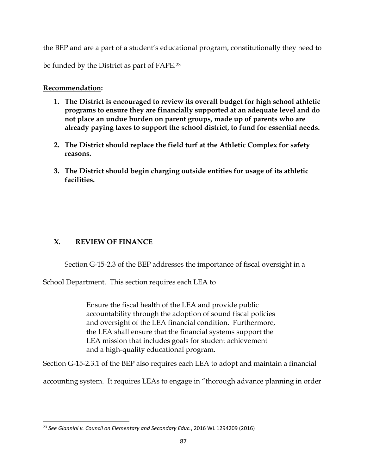the BEP and are a part of a student's educational program, constitutionally they need to

be funded by the District as part of FAPE.<sup>23</sup>

# **Recommendation:**

- **1. The District is encouraged to review its overall budget for high school athletic programs to ensure they are financially supported at an adequate level and do not place an undue burden on parent groups, made up of parents who are already paying taxes to support the school district, to fund for essential needs.**
- **2. The District should replace the field turf at the Athletic Complex for safety reasons.**
- **3. The District should begin charging outside entities for usage of its athletic facilities.**

# **X. REVIEW OF FINANCE**

 $\overline{\phantom{a}}$ 

Section G-15-2.3 of the BEP addresses the importance of fiscal oversight in a

School Department. This section requires each LEA to

Ensure the fiscal health of the LEA and provide public accountability through the adoption of sound fiscal policies and oversight of the LEA financial condition. Furthermore, the LEA shall ensure that the financial systems support the LEA mission that includes goals for student achievement and a high-quality educational program.

Section G-15-2.3.1 of the BEP also requires each LEA to adopt and maintain a financial

accounting system. It requires LEAs to engage in "thorough advance planning in order

<sup>23</sup> *See Giannini v. Council on Elementary and Secondary Educ.*, 2016 WL 1294209 (2016)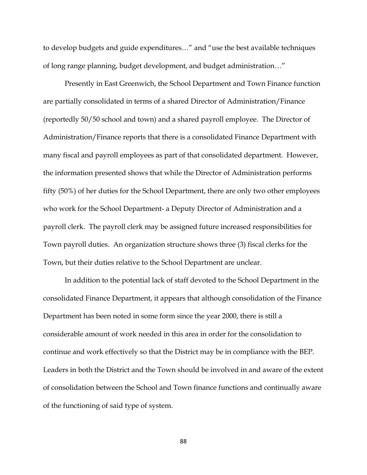to develop budgets and guide expenditures…" and "use the best available techniques of long range planning, budget development, and budget administration…"

Presently in East Greenwich, the School Department and Town Finance function are partially consolidated in terms of a shared Director of Administration/Finance (reportedly 50/50 school and town) and a shared payroll employee. The Director of Administration/Finance reports that there is a consolidated Finance Department with many fiscal and payroll employees as part of that consolidated department. However, the information presented shows that while the Director of Administration performs fifty (50%) of her duties for the School Department, there are only two other employees who work for the School Department- a Deputy Director of Administration and a payroll clerk. The payroll clerk may be assigned future increased responsibilities for Town payroll duties. An organization structure shows three (3) fiscal clerks for the Town, but their duties relative to the School Department are unclear.

In addition to the potential lack of staff devoted to the School Department in the consolidated Finance Department, it appears that although consolidation of the Finance Department has been noted in some form since the year 2000, there is still a considerable amount of work needed in this area in order for the consolidation to continue and work effectively so that the District may be in compliance with the BEP. Leaders in both the District and the Town should be involved in and aware of the extent of consolidation between the School and Town finance functions and continually aware of the functioning of said type of system.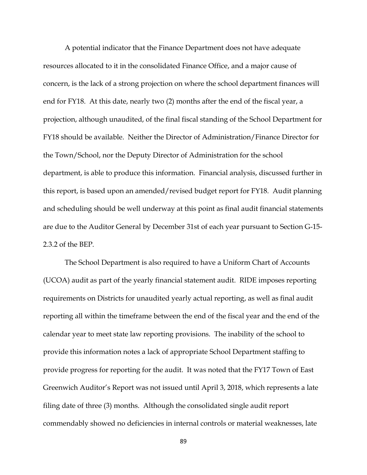A potential indicator that the Finance Department does not have adequate resources allocated to it in the consolidated Finance Office, and a major cause of concern, is the lack of a strong projection on where the school department finances will end for FY18. At this date, nearly two (2) months after the end of the fiscal year, a projection, although unaudited, of the final fiscal standing of the School Department for FY18 should be available. Neither the Director of Administration/Finance Director for the Town/School, nor the Deputy Director of Administration for the school department, is able to produce this information. Financial analysis, discussed further in this report, is based upon an amended/revised budget report for FY18. Audit planning and scheduling should be well underway at this point as final audit financial statements are due to the Auditor General by December 31st of each year pursuant to Section G-15- 2.3.2 of the BEP.

The School Department is also required to have a Uniform Chart of Accounts (UCOA) audit as part of the yearly financial statement audit. RIDE imposes reporting requirements on Districts for unaudited yearly actual reporting, as well as final audit reporting all within the timeframe between the end of the fiscal year and the end of the calendar year to meet state law reporting provisions. The inability of the school to provide this information notes a lack of appropriate School Department staffing to provide progress for reporting for the audit. It was noted that the FY17 Town of East Greenwich Auditor's Report was not issued until April 3, 2018, which represents a late filing date of three (3) months. Although the consolidated single audit report commendably showed no deficiencies in internal controls or material weaknesses, late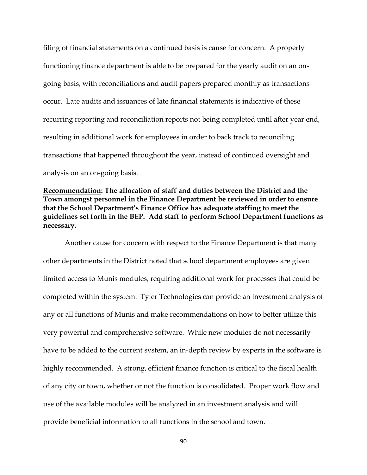filing of financial statements on a continued basis is cause for concern. A properly functioning finance department is able to be prepared for the yearly audit on an ongoing basis, with reconciliations and audit papers prepared monthly as transactions occur. Late audits and issuances of late financial statements is indicative of these recurring reporting and reconciliation reports not being completed until after year end, resulting in additional work for employees in order to back track to reconciling transactions that happened throughout the year, instead of continued oversight and analysis on an on-going basis.

**Recommendation: The allocation of staff and duties between the District and the Town amongst personnel in the Finance Department be reviewed in order to ensure that the School Department's Finance Office has adequate staffing to meet the guidelines set forth in the BEP. Add staff to perform School Department functions as necessary.**

Another cause for concern with respect to the Finance Department is that many other departments in the District noted that school department employees are given limited access to Munis modules, requiring additional work for processes that could be completed within the system. Tyler Technologies can provide an investment analysis of any or all functions of Munis and make recommendations on how to better utilize this very powerful and comprehensive software. While new modules do not necessarily have to be added to the current system, an in-depth review by experts in the software is highly recommended. A strong, efficient finance function is critical to the fiscal health of any city or town, whether or not the function is consolidated. Proper work flow and use of the available modules will be analyzed in an investment analysis and will provide beneficial information to all functions in the school and town.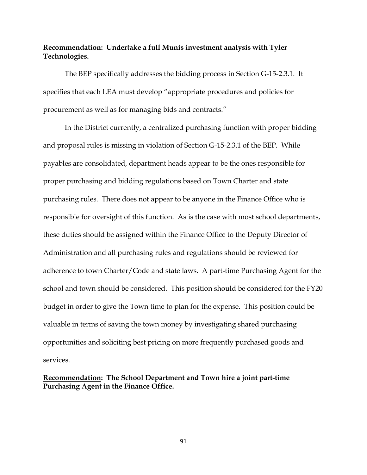## **Recommendation: Undertake a full Munis investment analysis with Tyler Technologies.**

The BEP specifically addresses the bidding process in Section G-15-2.3.1. It specifies that each LEA must develop "appropriate procedures and policies for procurement as well as for managing bids and contracts."

In the District currently, a centralized purchasing function with proper bidding and proposal rules is missing in violation of Section G-15-2.3.1 of the BEP. While payables are consolidated, department heads appear to be the ones responsible for proper purchasing and bidding regulations based on Town Charter and state purchasing rules. There does not appear to be anyone in the Finance Office who is responsible for oversight of this function. As is the case with most school departments, these duties should be assigned within the Finance Office to the Deputy Director of Administration and all purchasing rules and regulations should be reviewed for adherence to town Charter/Code and state laws. A part-time Purchasing Agent for the school and town should be considered. This position should be considered for the FY20 budget in order to give the Town time to plan for the expense. This position could be valuable in terms of saving the town money by investigating shared purchasing opportunities and soliciting best pricing on more frequently purchased goods and services.

**Recommendation: The School Department and Town hire a joint part-time Purchasing Agent in the Finance Office.**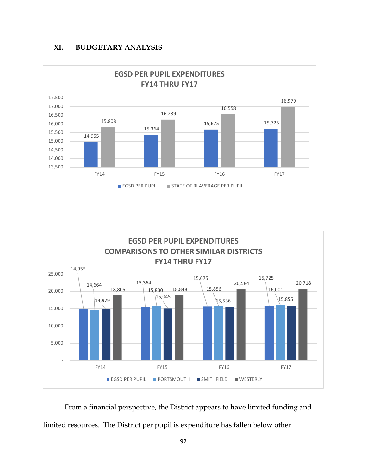





From a financial perspective, the District appears to have limited funding and limited resources. The District per pupil is expenditure has fallen below other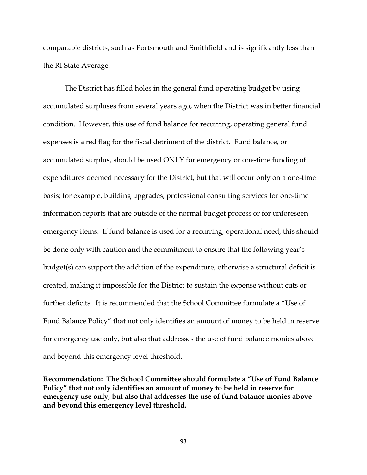comparable districts, such as Portsmouth and Smithfield and is significantly less than the RI State Average.

The District has filled holes in the general fund operating budget by using accumulated surpluses from several years ago, when the District was in better financial condition. However, this use of fund balance for recurring, operating general fund expenses is a red flag for the fiscal detriment of the district. Fund balance, or accumulated surplus, should be used ONLY for emergency or one-time funding of expenditures deemed necessary for the District, but that will occur only on a one-time basis; for example, building upgrades, professional consulting services for one-time information reports that are outside of the normal budget process or for unforeseen emergency items. If fund balance is used for a recurring, operational need, this should be done only with caution and the commitment to ensure that the following year's budget(s) can support the addition of the expenditure, otherwise a structural deficit is created, making it impossible for the District to sustain the expense without cuts or further deficits. It is recommended that the School Committee formulate a "Use of Fund Balance Policy" that not only identifies an amount of money to be held in reserve for emergency use only, but also that addresses the use of fund balance monies above and beyond this emergency level threshold.

**Recommendation: The School Committee should formulate a "Use of Fund Balance Policy" that not only identifies an amount of money to be held in reserve for emergency use only, but also that addresses the use of fund balance monies above and beyond this emergency level threshold.**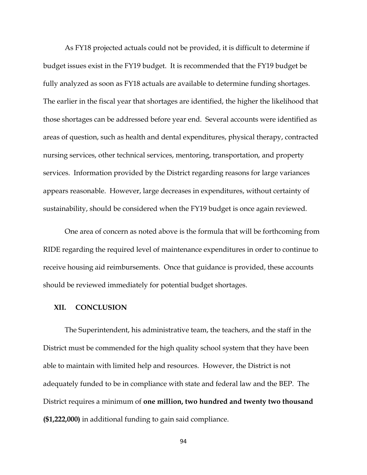As FY18 projected actuals could not be provided, it is difficult to determine if budget issues exist in the FY19 budget. It is recommended that the FY19 budget be fully analyzed as soon as FY18 actuals are available to determine funding shortages. The earlier in the fiscal year that shortages are identified, the higher the likelihood that those shortages can be addressed before year end. Several accounts were identified as areas of question, such as health and dental expenditures, physical therapy, contracted nursing services, other technical services, mentoring, transportation, and property services. Information provided by the District regarding reasons for large variances appears reasonable. However, large decreases in expenditures, without certainty of sustainability, should be considered when the FY19 budget is once again reviewed.

One area of concern as noted above is the formula that will be forthcoming from RIDE regarding the required level of maintenance expenditures in order to continue to receive housing aid reimbursements. Once that guidance is provided, these accounts should be reviewed immediately for potential budget shortages.

#### **XII. CONCLUSION**

The Superintendent, his administrative team, the teachers, and the staff in the District must be commended for the high quality school system that they have been able to maintain with limited help and resources. However, the District is not adequately funded to be in compliance with state and federal law and the BEP. The District requires a minimum of **one million, two hundred and twenty two thousand (\$1,222,000)** in additional funding to gain said compliance.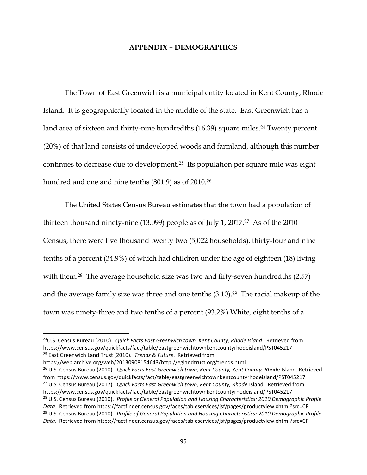### **APPENDIX – DEMOGRAPHICS**

The Town of East Greenwich is a municipal entity located in Kent County, Rhode Island. It is geographically located in the middle of the state. East Greenwich has a land area of sixteen and thirty-nine hundredths (16.39) square miles. <sup>24</sup> Twenty percent (20%) of that land consists of undeveloped woods and farmland, although this number continues to decrease due to development.25 Its population per square mile was eight hundred and one and nine tenths (801.9) as of 2010.<sup>26</sup>

The United States Census Bureau estimates that the town had a population of thirteen thousand ninety-nine  $(13,099)$  people as of July 1, 2017.<sup>27</sup> As of the 2010 Census, there were five thousand twenty two (5,022 households), thirty-four and nine tenths of a percent (34.9%) of which had children under the age of eighteen (18) living with them.<sup>28</sup> The average household size was two and fifty-seven hundredths (2.57) and the average family size was three and one tenths  $(3.10).^{29}$  The racial makeup of the town was ninety-three and two tenths of a percent (93.2%) White, eight tenths of a

https://web.archive.org/web/20130908154643/http://eglandtrust.org/trends.html

 $\overline{\phantom{a}}$ 

<sup>26</sup> U.S. Census Bureau (2010). *Quick Facts East Greenwich town, Kent County, Kent County, Rhode Island. Retrieved* from https://www.census.gov/quickfacts/fact/table/eastgreenwichtownkentcountyrhodeisland/PST045217 <sup>27</sup> U.S. Census Bureau (2017). *Quick Facts East Greenwich town, Kent County, Rhode* Island. Retrieved from https://www.census.gov/quickfacts/fact/table/eastgreenwichtownkentcountyrhodeisland/PST045217 <sup>28</sup> U.S. Census Bureau (2010). *Profile of General Population and Housing Characteristics: 2010 Demographic Profile Data*. Retrieved from https://factfinder.census.gov/faces/tableservices/jsf/pages/productview.xhtml?src=CF <sup>29</sup> U.S. Census Bureau (2010). *Profile of General Population and Housing Characteristics: 2010 Demographic Profile Data*. Retrieved from https://factfinder.census.gov/faces/tableservices/jsf/pages/productview.xhtml?src=CF

<sup>24</sup>U.S. Census Bureau (2010). *Quick Facts East Greenwich town, Kent County, Rhode Island*. Retrieved from https://www.census.gov/quickfacts/fact/table/eastgreenwichtownkentcountyrhodeisland/PST045217 <sup>25</sup> East Greenwich Land Trust (2010). *Trends & Future*. Retrieved from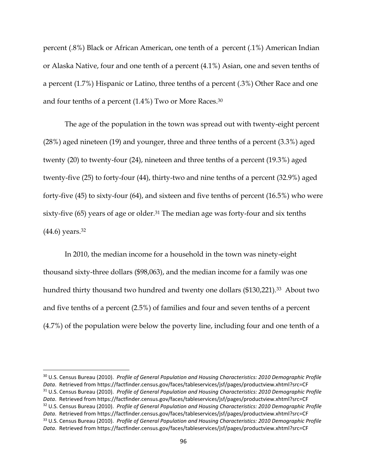percent (.8%) Black or African American, one tenth of a percent (.1%) American Indian or Alaska Native, four and one tenth of a percent (4.1%) Asian, one and seven tenths of a percent (1.7%) Hispanic or Latino, three tenths of a percent (.3%) Other Race and one and four tenths of a percent (1.4%) Two or More Races.<sup>30</sup>

The age of the population in the town was spread out with twenty-eight percent (28%) aged nineteen (19) and younger, three and three tenths of a percent (3.3%) aged twenty (20) to twenty-four (24), nineteen and three tenths of a percent (19.3%) aged twenty-five (25) to forty-four (44), thirty-two and nine tenths of a percent (32.9%) aged forty-five (45) to sixty-four (64), and sixteen and five tenths of percent (16.5%) who were sixty-five (65) years of age or older.<sup>31</sup> The median age was forty-four and six tenths (44.6) years.<sup>32</sup>

In 2010, the median income for a household in the town was ninety-eight thousand sixty-three dollars (\$98,063), and the median income for a family was one hundred thirty thousand two hundred and twenty one dollars (\$130,221).<sup>33</sup> About two and five tenths of a percent (2.5%) of families and four and seven tenths of a percent (4.7%) of the population were below the poverty line, including four and one tenth of a

 $\overline{a}$ 

<sup>30</sup> U.S. Census Bureau (2010). *Profile of General Population and Housing Characteristics: 2010 Demographic Profile Data*. Retrieved from https://factfinder.census.gov/faces/tableservices/jsf/pages/productview.xhtml?src=CF <sup>31</sup> U.S. Census Bureau (2010). *Profile of General Population and Housing Characteristics: 2010 Demographic Profile Data*. Retrieved from https://factfinder.census.gov/faces/tableservices/jsf/pages/productview.xhtml?src=CF <sup>32</sup> U.S. Census Bureau (2010). *Profile of General Population and Housing Characteristics: 2010 Demographic Profile Data*. Retrieved from https://factfinder.census.gov/faces/tableservices/jsf/pages/productview.xhtml?src=CF <sup>33</sup> U.S. Census Bureau (2010). *Profile of General Population and Housing Characteristics: 2010 Demographic Profile Data*. Retrieved from https://factfinder.census.gov/faces/tableservices/jsf/pages/productview.xhtml?src=CF